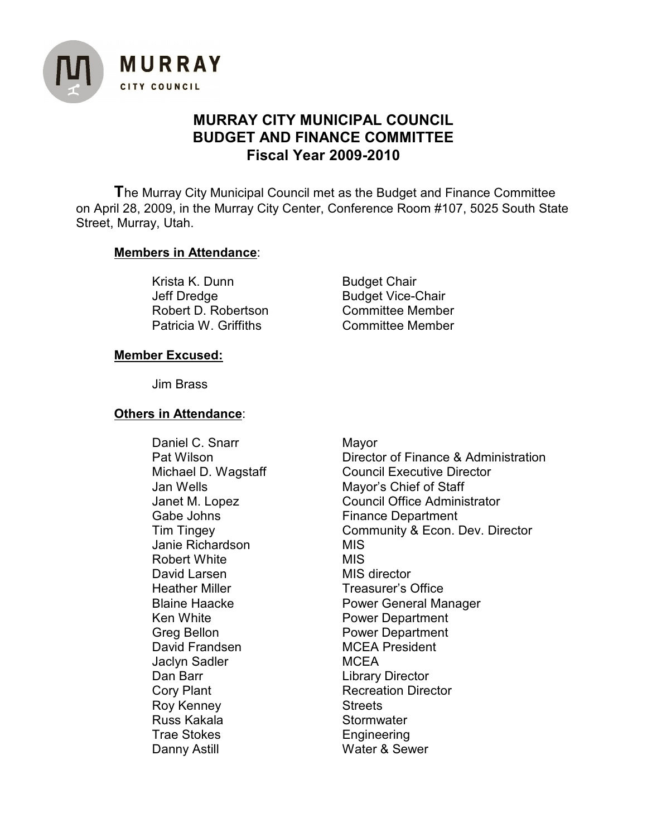

# **MURRAY CITY MUNICIPAL COUNCIL BUDGET AND FINANCE COMMITTEE Fiscal Year 2009-2010**

**T**he Murray City Municipal Council met as the Budget and Finance Committee on April 28, 2009, in the Murray City Center, Conference Room #107, 5025 South State Street, Murray, Utah.

### **Members in Attendance**:

Krista K. Dunn Budget Chair Jeff Dredge Budget Vice-Chair Robert D. Robertson Committee Member Patricia W. Griffiths **Committee Member** 

### **Member Excused:**

Jim Brass

### **Others in Attendance**:

Daniel C. Snarr Mayor Janie Richardson MIS Robert White **MIS** David Larsen MIS director Heather Miller **Treasurer's Office** Ken White **Power Department** Greg Bellon Franceschilden Bower Department<br>David Frandsen Franceschilden Bower President David Frandsen Jaclyn Sadler MCEA Dan Barr **Library Director** Cory Plant **Recreation Director** Roy Kenney **Streets** Russ Kakala **Stormwater** Trae Stokes **Engineering** Danny Astill Water & Sewer

Pat Wilson **Director of Finance & Administration** Michael D. Wagstaff Council Executive Director Jan Wells Mayor's Chief of Staff Janet M. Lopez Council Office Administrator Gabe Johns **Finance Department** Tim Tingey Community & Econ. Dev. Director Blaine Haacke **Rower General Manager**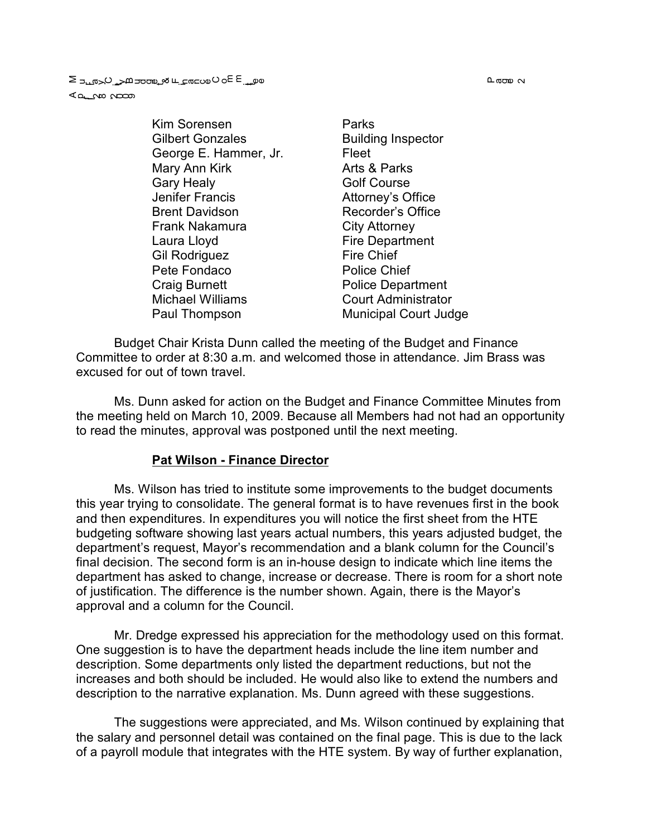**വരാ**യ പ

a على ب عام الله على الله على الله على الله على الله على الله عام الله على الله على الله على الله ع<br>S على الله عن الله على الله على الله على الله على الله على الله عن الله على الله عن الله على الله عن الله عن ا ⊲ططر Wo il

> Kim Sorensen **Parks** Gilbert Gonzales **Building Inspector** George E. Hammer, Jr. Fleet Mary Ann Kirk **Arts & Parks** Gary Healy **Golf Course** Jenifer Francis **Attorney's Office** Brent Davidson Recorder's Office Frank Nakamura **City Attorney** Laura Lloyd **Fire Department** Gil Rodriguez Fire Chief Pete Fondaco Police Chief Craig Burnett **Police Department** Michael Williams Court Administrator

Paul Thompson Municipal Court Judge

Budget Chair Krista Dunn called the meeting of the Budget and Finance Committee to order at 8:30 a.m. and welcomed those in attendance. Jim Brass was excused for out of town travel.

Ms. Dunn asked for action on the Budget and Finance Committee Minutes from the meeting held on March 10, 2009. Because all Members had not had an opportunity to read the minutes, approval was postponed until the next meeting.

#### **Pat Wilson - Finance Director**

Ms. Wilson has tried to institute some improvements to the budget documents this year trying to consolidate. The general format is to have revenues first in the book and then expenditures. In expenditures you will notice the first sheet from the HTE budgeting software showing last years actual numbers, this years adjusted budget, the department's request, Mayor's recommendation and a blank column for the Council's final decision. The second form is an in-house design to indicate which line items the department has asked to change, increase or decrease. There is room for a short note of justification. The difference is the number shown. Again, there is the Mayor's approval and a column for the Council.

Mr. Dredge expressed his appreciation for the methodology used on this format. One suggestion is to have the department heads include the line item number and description. Some departments only listed the department reductions, but not the increases and both should be included. He would also like to extend the numbers and description to the narrative explanation. Ms. Dunn agreed with these suggestions.

The suggestions were appreciated, and Ms. Wilson continued by explaining that the salary and personnel detail was contained on the final page. This is due to the lack of a payroll module that integrates with the HTE system. By way of further explanation,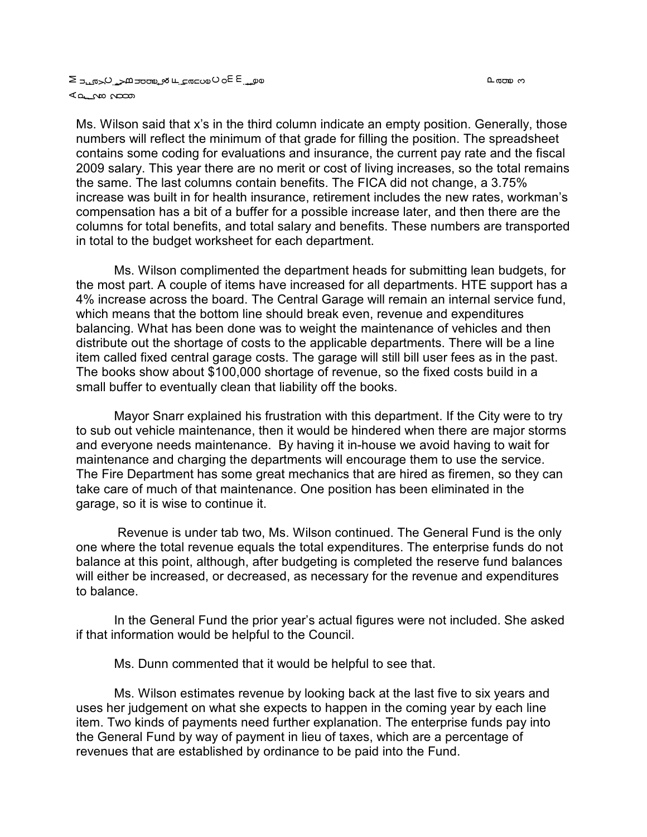0 അമ്പ

#### a على ب عام العام على الله على المعامل الكامل الحساد E so O wa ⊾<del>ه م</del>ات می

Ms. Wilson said that x's in the third column indicate an empty position. Generally, those numbers will reflect the minimum of that grade for filling the position. The spreadsheet contains some coding for evaluations and insurance, the current pay rate and the fiscal 2009 salary. This year there are no merit or cost of living increases, so the total remains the same. The last columns contain benefits. The FICA did not change, a 3.75% increase was built in for health insurance, retirement includes the new rates, workman's compensation has a bit of a buffer for a possible increase later, and then there are the columns for total benefits, and total salary and benefits. These numbers are transported in total to the budget worksheet for each department.

Ms. Wilson complimented the department heads for submitting lean budgets, for the most part. A couple of items have increased for all departments. HTE support has a 4% increase across the board. The Central Garage will remain an internal service fund, which means that the bottom line should break even, revenue and expenditures balancing. What has been done was to weight the maintenance of vehicles and then distribute out the shortage of costs to the applicable departments. There will be a line item called fixed central garage costs. The garage will still bill user fees as in the past. The books show about \$100,000 shortage of revenue, so the fixed costs build in a small buffer to eventually clean that liability off the books.

Mayor Snarr explained his frustration with this department. If the City were to try to sub out vehicle maintenance, then it would be hindered when there are major storms and everyone needs maintenance. By having it in-house we avoid having to wait for maintenance and charging the departments will encourage them to use the service. The Fire Department has some great mechanics that are hired as firemen, so they can take care of much of that maintenance. One position has been eliminated in the garage, so it is wise to continue it.

 Revenue is under tab two, Ms. Wilson continued. The General Fund is the only one where the total revenue equals the total expenditures. The enterprise funds do not balance at this point, although, after budgeting is completed the reserve fund balances will either be increased, or decreased, as necessary for the revenue and expenditures to balance.

In the General Fund the prior year's actual figures were not included. She asked if that information would be helpful to the Council.

Ms. Dunn commented that it would be helpful to see that.

Ms. Wilson estimates revenue by looking back at the last five to six years and uses her judgement on what she expects to happen in the coming year by each line item. Two kinds of payments need further explanation. The enterprise funds pay into the General Fund by way of payment in lieu of taxes, which are a percentage of revenues that are established by ordinance to be paid into the Fund.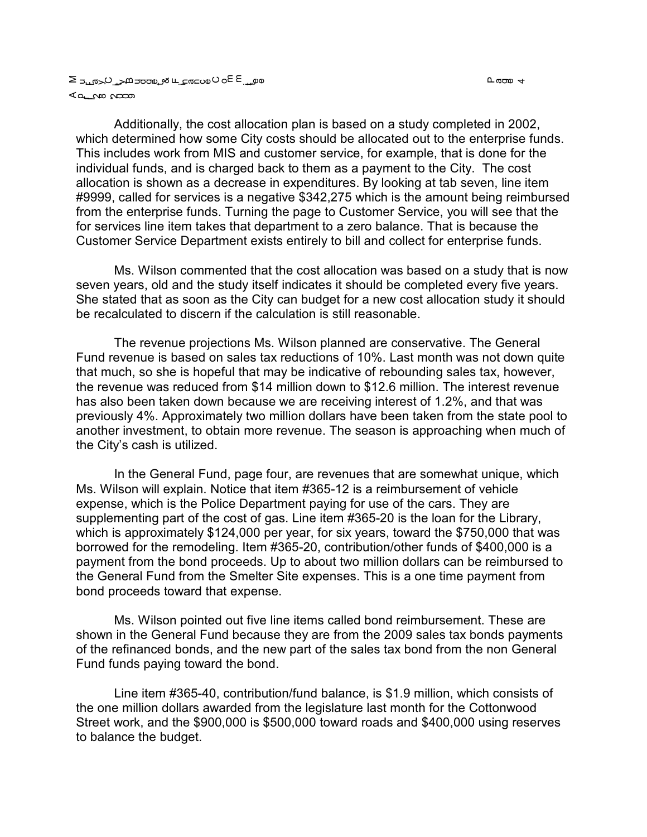L ನಂತಾ 4

a على ب عام العام على الله على المعامل الكامل الحساد E so O wa ⊾<del>ه م</del>ات می

Additionally, the cost allocation plan is based on a study completed in 2002, which determined how some City costs should be allocated out to the enterprise funds. This includes work from MIS and customer service, for example, that is done for the individual funds, and is charged back to them as a payment to the City. The cost allocation is shown as a decrease in expenditures. By looking at tab seven, line item #9999, called for services is a negative \$342,275 which is the amount being reimbursed from the enterprise funds. Turning the page to Customer Service, you will see that the for services line item takes that department to a zero balance. That is because the Customer Service Department exists entirely to bill and collect for enterprise funds.

Ms. Wilson commented that the cost allocation was based on a study that is now seven years, old and the study itself indicates it should be completed every five years. She stated that as soon as the City can budget for a new cost allocation study it should be recalculated to discern if the calculation is still reasonable.

The revenue projections Ms. Wilson planned are conservative. The General Fund revenue is based on sales tax reductions of 10%. Last month was not down quite that much, so she is hopeful that may be indicative of rebounding sales tax, however, the revenue was reduced from \$14 million down to \$12.6 million. The interest revenue has also been taken down because we are receiving interest of 1.2%, and that was previously 4%. Approximately two million dollars have been taken from the state pool to another investment, to obtain more revenue. The season is approaching when much of the City's cash is utilized.

In the General Fund, page four, are revenues that are somewhat unique, which Ms. Wilson will explain. Notice that item #365-12 is a reimbursement of vehicle expense, which is the Police Department paying for use of the cars. They are supplementing part of the cost of gas. Line item #365-20 is the loan for the Library, which is approximately \$124,000 per year, for six years, toward the \$750,000 that was borrowed for the remodeling. Item #365-20, contribution/other funds of \$400,000 is a payment from the bond proceeds. Up to about two million dollars can be reimbursed to the General Fund from the Smelter Site expenses. This is a one time payment from bond proceeds toward that expense.

Ms. Wilson pointed out five line items called bond reimbursement. These are shown in the General Fund because they are from the 2009 sales tax bonds payments of the refinanced bonds, and the new part of the sales tax bond from the non General Fund funds paying toward the bond.

Line item #365-40, contribution/fund balance, is \$1.9 million, which consists of the one million dollars awarded from the legislature last month for the Cottonwood Street work, and the \$900,000 is \$500,000 toward roads and \$400,000 using reserves to balance the budget.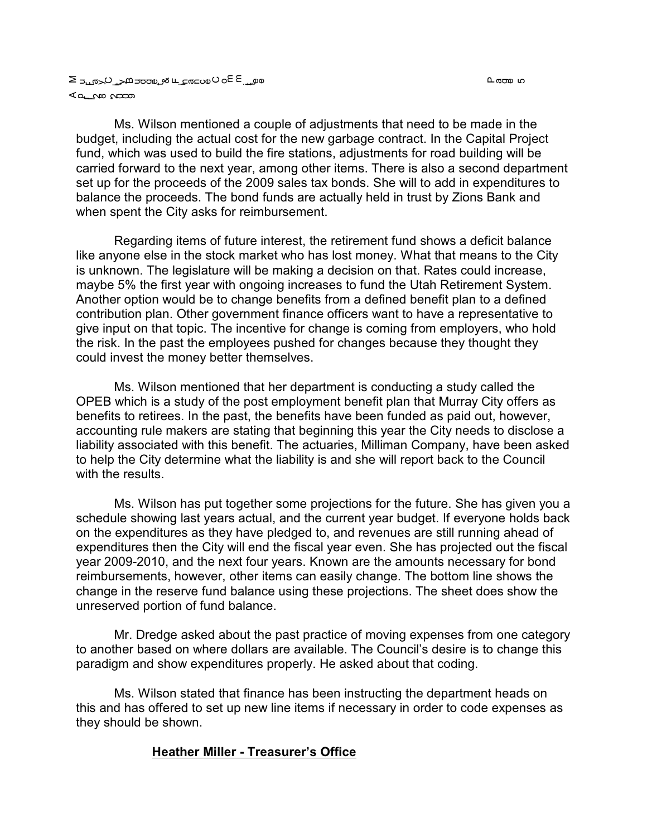Ms. Wilson mentioned a couple of adjustments that need to be made in the budget, including the actual cost for the new garbage contract. In the Capital Project fund, which was used to build the fire stations, adjustments for road building will be carried forward to the next year, among other items. There is also a second department set up for the proceeds of the 2009 sales tax bonds. She will to add in expenditures to balance the proceeds. The bond funds are actually held in trust by Zions Bank and when spent the City asks for reimbursement.

Regarding items of future interest, the retirement fund shows a deficit balance like anyone else in the stock market who has lost money. What that means to the City is unknown. The legislature will be making a decision on that. Rates could increase, maybe 5% the first year with ongoing increases to fund the Utah Retirement System. Another option would be to change benefits from a defined benefit plan to a defined contribution plan. Other government finance officers want to have a representative to give input on that topic. The incentive for change is coming from employers, who hold the risk. In the past the employees pushed for changes because they thought they could invest the money better themselves.

Ms. Wilson mentioned that her department is conducting a study called the OPEB which is a study of the post employment benefit plan that Murray City offers as benefits to retirees. In the past, the benefits have been funded as paid out, however, accounting rule makers are stating that beginning this year the City needs to disclose a liability associated with this benefit. The actuaries, Milliman Company, have been asked to help the City determine what the liability is and she will report back to the Council with the results.

Ms. Wilson has put together some projections for the future. She has given you a schedule showing last years actual, and the current year budget. If everyone holds back on the expenditures as they have pledged to, and revenues are still running ahead of expenditures then the City will end the fiscal year even. She has projected out the fiscal year 2009-2010, and the next four years. Known are the amounts necessary for bond reimbursements, however, other items can easily change. The bottom line shows the change in the reserve fund balance using these projections. The sheet does show the unreserved portion of fund balance.

Mr. Dredge asked about the past practice of moving expenses from one category to another based on where dollars are available. The Council's desire is to change this paradigm and show expenditures properly. He asked about that coding.

Ms. Wilson stated that finance has been instructing the department heads on this and has offered to set up new line items if necessary in order to code expenses as they should be shown.

### **Heather Miller - Treasurer's Office**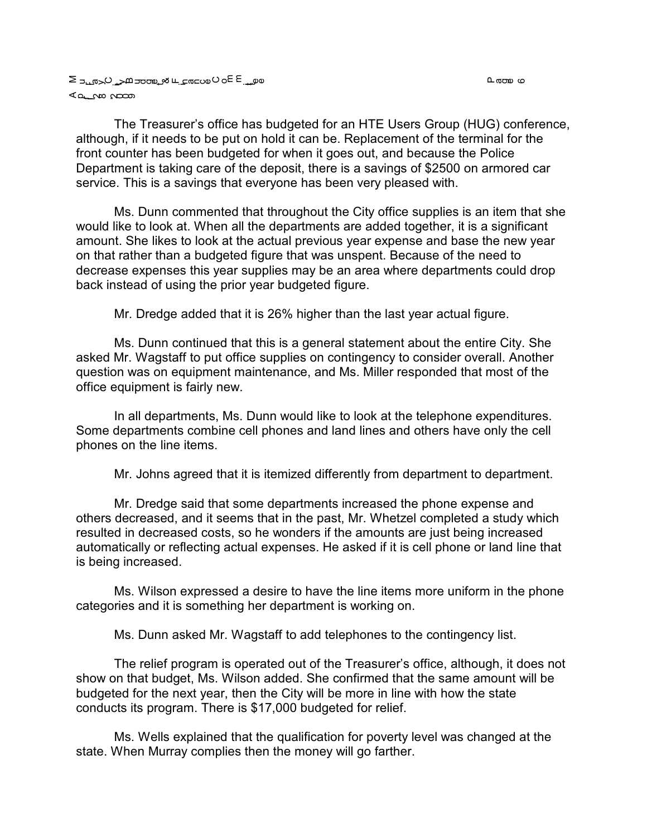വരാണം സ

The Treasurer's office has budgeted for an HTE Users Group (HUG) conference, although, if it needs to be put on hold it can be. Replacement of the terminal for the front counter has been budgeted for when it goes out, and because the Police Department is taking care of the deposit, there is a savings of \$2500 on armored car service. This is a savings that everyone has been very pleased with.

Ms. Dunn commented that throughout the City office supplies is an item that she would like to look at. When all the departments are added together, it is a significant amount. She likes to look at the actual previous year expense and base the new year on that rather than a budgeted figure that was unspent. Because of the need to decrease expenses this year supplies may be an area where departments could drop back instead of using the prior year budgeted figure.

Mr. Dredge added that it is 26% higher than the last year actual figure.

Ms. Dunn continued that this is a general statement about the entire City. She asked Mr. Wagstaff to put office supplies on contingency to consider overall. Another question was on equipment maintenance, and Ms. Miller responded that most of the office equipment is fairly new.

In all departments, Ms. Dunn would like to look at the telephone expenditures. Some departments combine cell phones and land lines and others have only the cell phones on the line items.

Mr. Johns agreed that it is itemized differently from department to department.

Mr. Dredge said that some departments increased the phone expense and others decreased, and it seems that in the past, Mr. Whetzel completed a study which resulted in decreased costs, so he wonders if the amounts are just being increased automatically or reflecting actual expenses. He asked if it is cell phone or land line that is being increased.

Ms. Wilson expressed a desire to have the line items more uniform in the phone categories and it is something her department is working on.

Ms. Dunn asked Mr. Wagstaff to add telephones to the contingency list.

The relief program is operated out of the Treasurer's office, although, it does not show on that budget, Ms. Wilson added. She confirmed that the same amount will be budgeted for the next year, then the City will be more in line with how the state conducts its program. There is \$17,000 budgeted for relief.

Ms. Wells explained that the qualification for poverty level was changed at the state. When Murray complies then the money will go farther.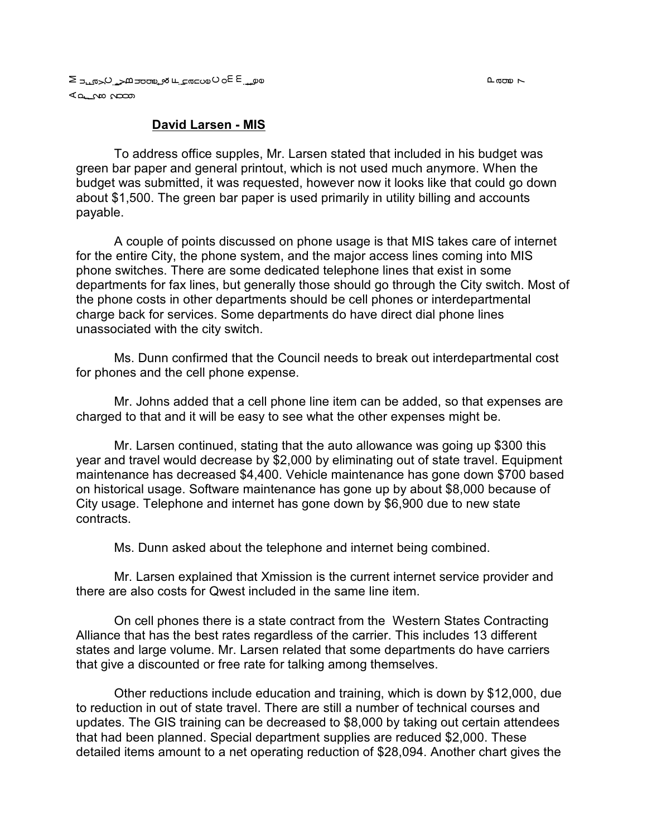### **David Larsen - MIS**

To address office supples, Mr. Larsen stated that included in his budget was green bar paper and general printout, which is not used much anymore. When the budget was submitted, it was requested, however now it looks like that could go down about \$1,500. The green bar paper is used primarily in utility billing and accounts payable.

A couple of points discussed on phone usage is that MIS takes care of internet for the entire City, the phone system, and the major access lines coming into MIS phone switches. There are some dedicated telephone lines that exist in some departments for fax lines, but generally those should go through the City switch. Most of the phone costs in other departments should be cell phones or interdepartmental charge back for services. Some departments do have direct dial phone lines unassociated with the city switch.

Ms. Dunn confirmed that the Council needs to break out interdepartmental cost for phones and the cell phone expense.

Mr. Johns added that a cell phone line item can be added, so that expenses are charged to that and it will be easy to see what the other expenses might be.

Mr. Larsen continued, stating that the auto allowance was going up \$300 this year and travel would decrease by \$2,000 by eliminating out of state travel. Equipment maintenance has decreased \$4,400. Vehicle maintenance has gone down \$700 based on historical usage. Software maintenance has gone up by about \$8,000 because of City usage. Telephone and internet has gone down by \$6,900 due to new state contracts.

Ms. Dunn asked about the telephone and internet being combined.

Mr. Larsen explained that Xmission is the current internet service provider and there are also costs for Qwest included in the same line item.

On cell phones there is a state contract from the Western States Contracting Alliance that has the best rates regardless of the carrier. This includes 13 different states and large volume. Mr. Larsen related that some departments do have carriers that give a discounted or free rate for talking among themselves.

Other reductions include education and training, which is down by \$12,000, due to reduction in out of state travel. There are still a number of technical courses and updates. The GIS training can be decreased to \$8,000 by taking out certain attendees that had been planned. Special department supplies are reduced \$2,000. These detailed items amount to a net operating reduction of \$28,094. Another chart gives the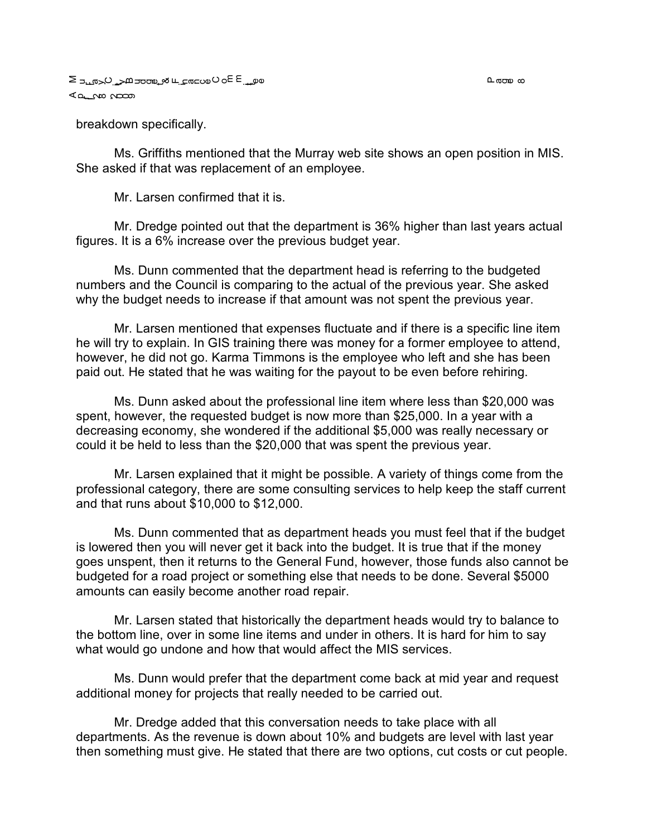breakdown specifically.

Ms. Griffiths mentioned that the Murray web site shows an open position in MIS. She asked if that was replacement of an employee.

Mr. Larsen confirmed that it is.

Mr. Dredge pointed out that the department is 36% higher than last years actual figures. It is a 6% increase over the previous budget year.

Ms. Dunn commented that the department head is referring to the budgeted numbers and the Council is comparing to the actual of the previous year. She asked why the budget needs to increase if that amount was not spent the previous year.

Mr. Larsen mentioned that expenses fluctuate and if there is a specific line item he will try to explain. In GIS training there was money for a former employee to attend, however, he did not go. Karma Timmons is the employee who left and she has been paid out. He stated that he was waiting for the payout to be even before rehiring.

Ms. Dunn asked about the professional line item where less than \$20,000 was spent, however, the requested budget is now more than \$25,000. In a year with a decreasing economy, she wondered if the additional \$5,000 was really necessary or could it be held to less than the \$20,000 that was spent the previous year.

Mr. Larsen explained that it might be possible. A variety of things come from the professional category, there are some consulting services to help keep the staff current and that runs about \$10,000 to \$12,000.

Ms. Dunn commented that as department heads you must feel that if the budget is lowered then you will never get it back into the budget. It is true that if the money goes unspent, then it returns to the General Fund, however, those funds also cannot be budgeted for a road project or something else that needs to be done. Several \$5000 amounts can easily become another road repair.

Mr. Larsen stated that historically the department heads would try to balance to the bottom line, over in some line items and under in others. It is hard for him to say what would go undone and how that would affect the MIS services.

Ms. Dunn would prefer that the department come back at mid year and request additional money for projects that really needed to be carried out.

Mr. Dredge added that this conversation needs to take place with all departments. As the revenue is down about 10% and budgets are level with last year then something must give. He stated that there are two options, cut costs or cut people.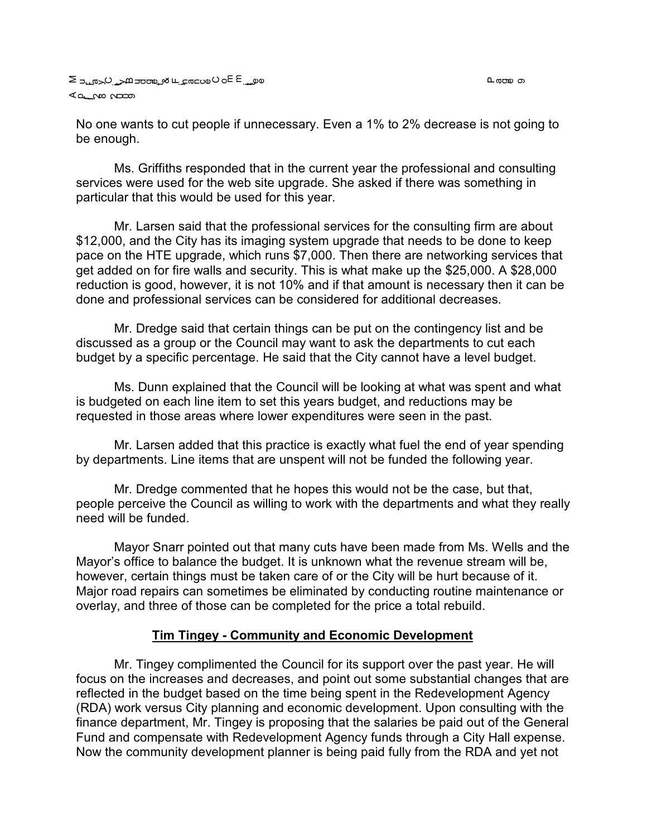$\mathtt{n}$  തായ റ

No one wants to cut people if unnecessary. Even a 1% to 2% decrease is not going to be enough.

Ms. Griffiths responded that in the current year the professional and consulting services were used for the web site upgrade. She asked if there was something in particular that this would be used for this year.

Mr. Larsen said that the professional services for the consulting firm are about \$12,000, and the City has its imaging system upgrade that needs to be done to keep pace on the HTE upgrade, which runs \$7,000. Then there are networking services that get added on for fire walls and security. This is what make up the \$25,000. A \$28,000 reduction is good, however, it is not 10% and if that amount is necessary then it can be done and professional services can be considered for additional decreases.

Mr. Dredge said that certain things can be put on the contingency list and be discussed as a group or the Council may want to ask the departments to cut each budget by a specific percentage. He said that the City cannot have a level budget.

Ms. Dunn explained that the Council will be looking at what was spent and what is budgeted on each line item to set this years budget, and reductions may be requested in those areas where lower expenditures were seen in the past.

Mr. Larsen added that this practice is exactly what fuel the end of year spending by departments. Line items that are unspent will not be funded the following year.

Mr. Dredge commented that he hopes this would not be the case, but that, people perceive the Council as willing to work with the departments and what they really need will be funded.

Mayor Snarr pointed out that many cuts have been made from Ms. Wells and the Mayor's office to balance the budget. It is unknown what the revenue stream will be, however, certain things must be taken care of or the City will be hurt because of it. Major road repairs can sometimes be eliminated by conducting routine maintenance or overlay, and three of those can be completed for the price a total rebuild.

## **Tim Tingey - Community and Economic Development**

Mr. Tingey complimented the Council for its support over the past year. He will focus on the increases and decreases, and point out some substantial changes that are reflected in the budget based on the time being spent in the Redevelopment Agency (RDA) work versus City planning and economic development. Upon consulting with the finance department, Mr. Tingey is proposing that the salaries be paid out of the General Fund and compensate with Redevelopment Agency funds through a City Hall expense. Now the community development planner is being paid fully from the RDA and yet not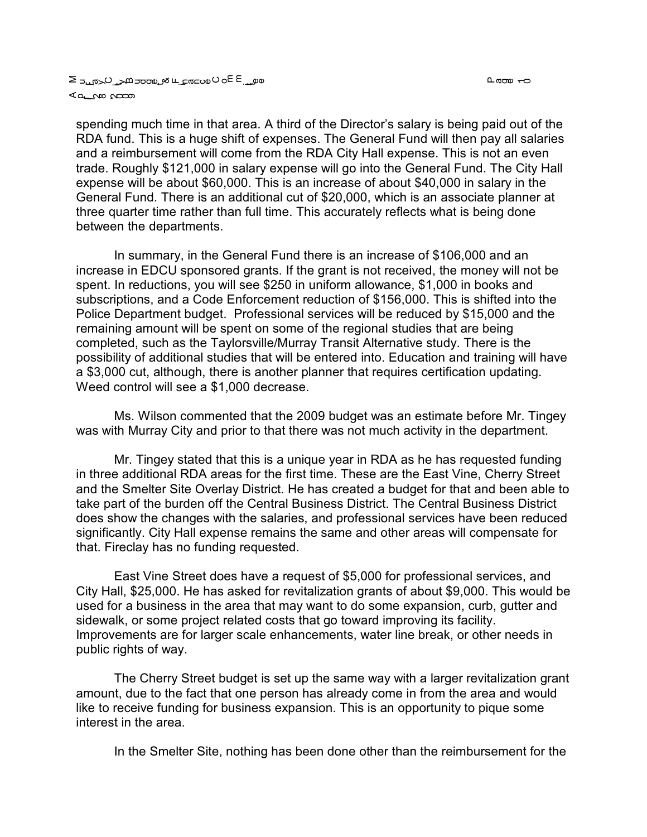#### a على ب عام العام على الله على المعامل الكامل الحساد E so O wa ⊾<del>ه م</del>ات می

spending much time in that area. A third of the Director's salary is being paid out of the RDA fund. This is a huge shift of expenses. The General Fund will then pay all salaries and a reimbursement will come from the RDA City Hall expense. This is not an even trade. Roughly \$121,000 in salary expense will go into the General Fund. The City Hall expense will be about \$60,000. This is an increase of about \$40,000 in salary in the General Fund. There is an additional cut of \$20,000, which is an associate planner at three quarter time rather than full time. This accurately reflects what is being done between the departments.

In summary, in the General Fund there is an increase of \$106,000 and an increase in EDCU sponsored grants. If the grant is not received, the money will not be spent. In reductions, you will see \$250 in uniform allowance, \$1,000 in books and subscriptions, and a Code Enforcement reduction of \$156,000. This is shifted into the Police Department budget. Professional services will be reduced by \$15,000 and the remaining amount will be spent on some of the regional studies that are being completed, such as the Taylorsville/Murray Transit Alternative study. There is the possibility of additional studies that will be entered into. Education and training will have a \$3,000 cut, although, there is another planner that requires certification updating. Weed control will see a \$1,000 decrease.

Ms. Wilson commented that the 2009 budget was an estimate before Mr. Tingey was with Murray City and prior to that there was not much activity in the department.

Mr. Tingey stated that this is a unique year in RDA as he has requested funding in three additional RDA areas for the first time. These are the East Vine, Cherry Street and the Smelter Site Overlay District. He has created a budget for that and been able to take part of the burden off the Central Business District. The Central Business District does show the changes with the salaries, and professional services have been reduced significantly. City Hall expense remains the same and other areas will compensate for that. Fireclay has no funding requested.

East Vine Street does have a request of \$5,000 for professional services, and City Hall, \$25,000. He has asked for revitalization grants of about \$9,000. This would be used for a business in the area that may want to do some expansion, curb, gutter and sidewalk, or some project related costs that go toward improving its facility. Improvements are for larger scale enhancements, water line break, or other needs in public rights of way.

The Cherry Street budget is set up the same way with a larger revitalization grant amount, due to the fact that one person has already come in from the area and would like to receive funding for business expansion. This is an opportunity to pique some interest in the area.

In the Smelter Site, nothing has been done other than the reimbursement for the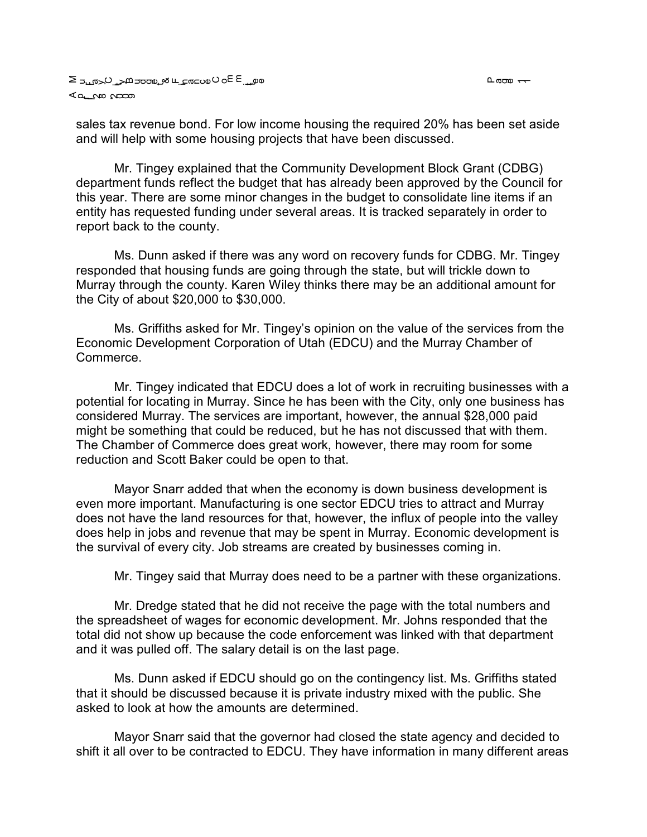൨ഝ <del>ᆢ</del>

sales tax revenue bond. For low income housing the required 20% has been set aside and will help with some housing projects that have been discussed.

Mr. Tingey explained that the Community Development Block Grant (CDBG) department funds reflect the budget that has already been approved by the Council for this year. There are some minor changes in the budget to consolidate line items if an entity has requested funding under several areas. It is tracked separately in order to report back to the county.

Ms. Dunn asked if there was any word on recovery funds for CDBG. Mr. Tingey responded that housing funds are going through the state, but will trickle down to Murray through the county. Karen Wiley thinks there may be an additional amount for the City of about \$20,000 to \$30,000.

Ms. Griffiths asked for Mr. Tingey's opinion on the value of the services from the Economic Development Corporation of Utah (EDCU) and the Murray Chamber of Commerce.

Mr. Tingey indicated that EDCU does a lot of work in recruiting businesses with a potential for locating in Murray. Since he has been with the City, only one business has considered Murray. The services are important, however, the annual \$28,000 paid might be something that could be reduced, but he has not discussed that with them. The Chamber of Commerce does great work, however, there may room for some reduction and Scott Baker could be open to that.

Mayor Snarr added that when the economy is down business development is even more important. Manufacturing is one sector EDCU tries to attract and Murray does not have the land resources for that, however, the influx of people into the valley does help in jobs and revenue that may be spent in Murray. Economic development is the survival of every city. Job streams are created by businesses coming in.

Mr. Tingey said that Murray does need to be a partner with these organizations.

Mr. Dredge stated that he did not receive the page with the total numbers and the spreadsheet of wages for economic development. Mr. Johns responded that the total did not show up because the code enforcement was linked with that department and it was pulled off. The salary detail is on the last page.

Ms. Dunn asked if EDCU should go on the contingency list. Ms. Griffiths stated that it should be discussed because it is private industry mixed with the public. She asked to look at how the amounts are determined.

Mayor Snarr said that the governor had closed the state agency and decided to shift it all over to be contracted to EDCU. They have information in many different areas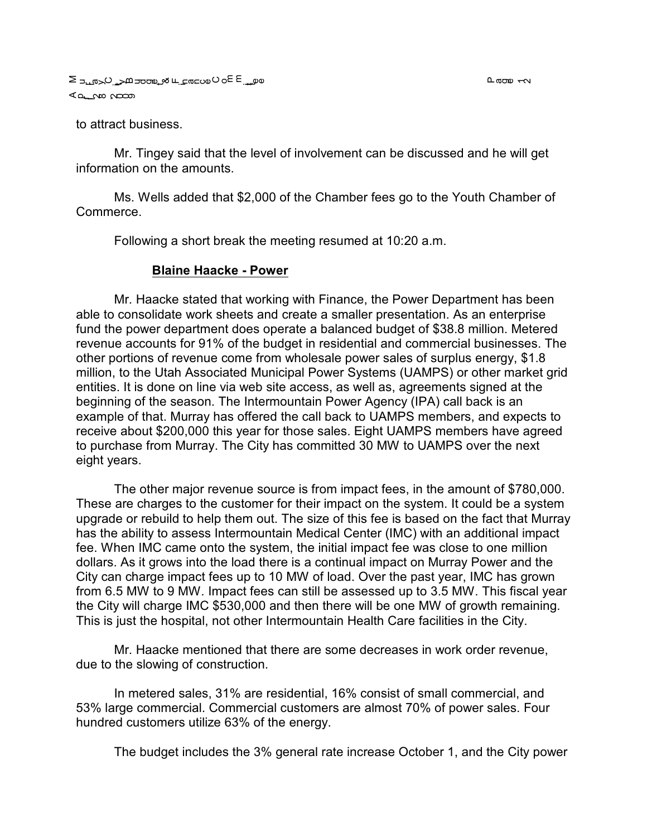to attract business.

Mr. Tingey said that the level of involvement can be discussed and he will get information on the amounts.

Ms. Wells added that \$2,000 of the Chamber fees go to the Youth Chamber of Commerce.

Following a short break the meeting resumed at 10:20 a.m.

#### **Blaine Haacke - Power**

Mr. Haacke stated that working with Finance, the Power Department has been able to consolidate work sheets and create a smaller presentation. As an enterprise fund the power department does operate a balanced budget of \$38.8 million. Metered revenue accounts for 91% of the budget in residential and commercial businesses. The other portions of revenue come from wholesale power sales of surplus energy, \$1.8 million, to the Utah Associated Municipal Power Systems (UAMPS) or other market grid entities. It is done on line via web site access, as well as, agreements signed at the beginning of the season. The Intermountain Power Agency (IPA) call back is an example of that. Murray has offered the call back to UAMPS members, and expects to receive about \$200,000 this year for those sales. Eight UAMPS members have agreed to purchase from Murray. The City has committed 30 MW to UAMPS over the next eight years.

The other major revenue source is from impact fees, in the amount of \$780,000. These are charges to the customer for their impact on the system. It could be a system upgrade or rebuild to help them out. The size of this fee is based on the fact that Murray has the ability to assess Intermountain Medical Center (IMC) with an additional impact fee. When IMC came onto the system, the initial impact fee was close to one million dollars. As it grows into the load there is a continual impact on Murray Power and the City can charge impact fees up to 10 MW of load. Over the past year, IMC has grown from 6.5 MW to 9 MW. Impact fees can still be assessed up to 3.5 MW. This fiscal year the City will charge IMC \$530,000 and then there will be one MW of growth remaining. This is just the hospital, not other Intermountain Health Care facilities in the City.

Mr. Haacke mentioned that there are some decreases in work order revenue, due to the slowing of construction.

In metered sales, 31% are residential, 16% consist of small commercial, and 53% large commercial. Commercial customers are almost 70% of power sales. Four hundred customers utilize 63% of the energy.

The budget includes the 3% general rate increase October 1, and the City power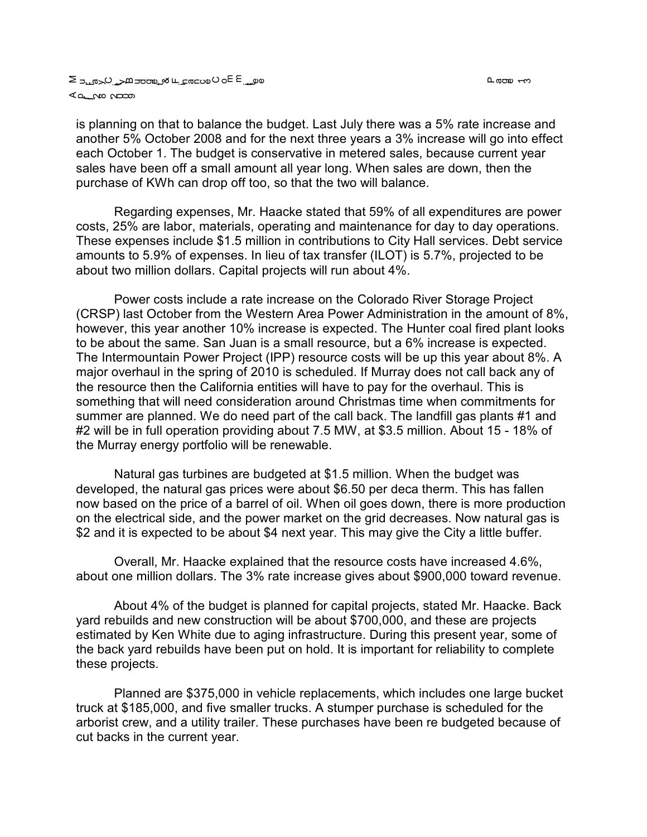വരാണം പ്ര

is planning on that to balance the budget. Last July there was a 5% rate increase and another 5% October 2008 and for the next three years a 3% increase will go into effect each October 1. The budget is conservative in metered sales, because current year sales have been off a small amount all year long. When sales are down, then the purchase of KWh can drop off too, so that the two will balance.

Regarding expenses, Mr. Haacke stated that 59% of all expenditures are power costs, 25% are labor, materials, operating and maintenance for day to day operations. These expenses include \$1.5 million in contributions to City Hall services. Debt service amounts to 5.9% of expenses. In lieu of tax transfer (ILOT) is 5.7%, projected to be about two million dollars. Capital projects will run about 4%.

Power costs include a rate increase on the Colorado River Storage Project (CRSP) last October from the Western Area Power Administration in the amount of 8%, however, this year another 10% increase is expected. The Hunter coal fired plant looks to be about the same. San Juan is a small resource, but a 6% increase is expected. The Intermountain Power Project (IPP) resource costs will be up this year about 8%. A major overhaul in the spring of 2010 is scheduled. If Murray does not call back any of the resource then the California entities will have to pay for the overhaul. This is something that will need consideration around Christmas time when commitments for summer are planned. We do need part of the call back. The landfill gas plants #1 and #2 will be in full operation providing about 7.5 MW, at \$3.5 million. About 15 - 18% of the Murray energy portfolio will be renewable.

Natural gas turbines are budgeted at \$1.5 million. When the budget was developed, the natural gas prices were about \$6.50 per deca therm. This has fallen now based on the price of a barrel of oil. When oil goes down, there is more production on the electrical side, and the power market on the grid decreases. Now natural gas is \$2 and it is expected to be about \$4 next year. This may give the City a little buffer.

Overall, Mr. Haacke explained that the resource costs have increased 4.6%, about one million dollars. The 3% rate increase gives about \$900,000 toward revenue.

About 4% of the budget is planned for capital projects, stated Mr. Haacke. Back yard rebuilds and new construction will be about \$700,000, and these are projects estimated by Ken White due to aging infrastructure. During this present year, some of the back yard rebuilds have been put on hold. It is important for reliability to complete these projects.

Planned are \$375,000 in vehicle replacements, which includes one large bucket truck at \$185,000, and five smaller trucks. A stumper purchase is scheduled for the arborist crew, and a utility trailer. These purchases have been re budgeted because of cut backs in the current year.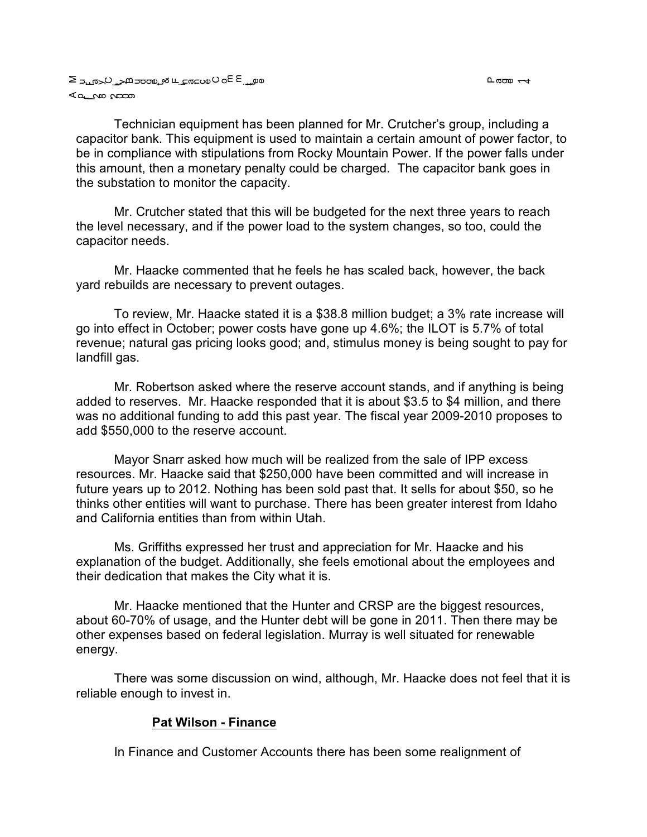Technician equipment has been planned for Mr. Crutcher's group, including a capacitor bank. This equipment is used to maintain a certain amount of power factor, to be in compliance with stipulations from Rocky Mountain Power. If the power falls under this amount, then a monetary penalty could be charged. The capacitor bank goes in the substation to monitor the capacity.

Mr. Crutcher stated that this will be budgeted for the next three years to reach the level necessary, and if the power load to the system changes, so too, could the capacitor needs.

Mr. Haacke commented that he feels he has scaled back, however, the back yard rebuilds are necessary to prevent outages.

To review, Mr. Haacke stated it is a \$38.8 million budget; a 3% rate increase will go into effect in October; power costs have gone up 4.6%; the ILOT is 5.7% of total revenue; natural gas pricing looks good; and, stimulus money is being sought to pay for landfill gas.

Mr. Robertson asked where the reserve account stands, and if anything is being added to reserves. Mr. Haacke responded that it is about \$3.5 to \$4 million, and there was no additional funding to add this past year. The fiscal year 2009-2010 proposes to add \$550,000 to the reserve account.

Mayor Snarr asked how much will be realized from the sale of IPP excess resources. Mr. Haacke said that \$250,000 have been committed and will increase in future years up to 2012. Nothing has been sold past that. It sells for about \$50, so he thinks other entities will want to purchase. There has been greater interest from Idaho and California entities than from within Utah.

Ms. Griffiths expressed her trust and appreciation for Mr. Haacke and his explanation of the budget. Additionally, she feels emotional about the employees and their dedication that makes the City what it is.

Mr. Haacke mentioned that the Hunter and CRSP are the biggest resources, about 60-70% of usage, and the Hunter debt will be gone in 2011. Then there may be other expenses based on federal legislation. Murray is well situated for renewable energy.

There was some discussion on wind, although, Mr. Haacke does not feel that it is reliable enough to invest in.

#### **Pat Wilson - Finance**

In Finance and Customer Accounts there has been some realignment of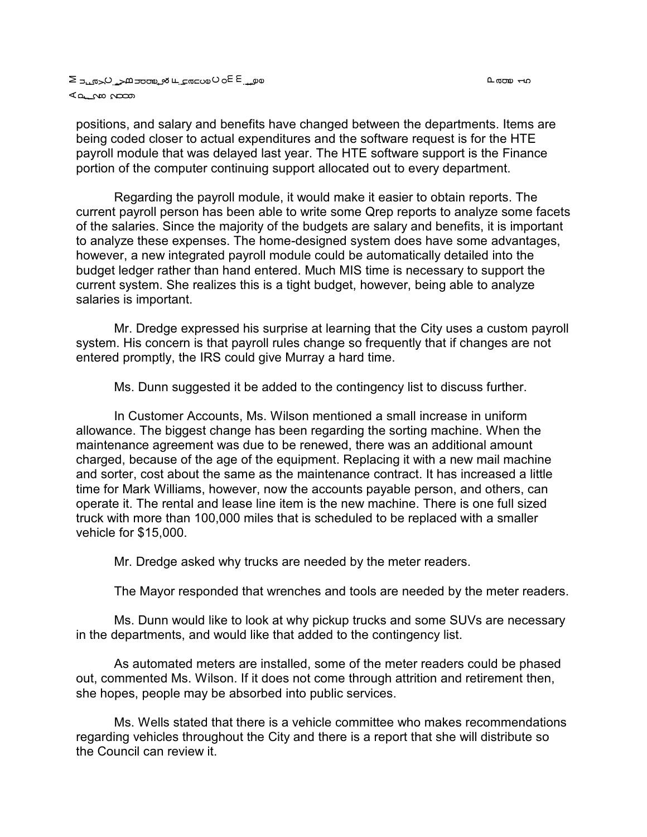൨ഝ ⊸ഹ

positions, and salary and benefits have changed between the departments. Items are being coded closer to actual expenditures and the software request is for the HTE payroll module that was delayed last year. The HTE software support is the Finance portion of the computer continuing support allocated out to every department.

Regarding the payroll module, it would make it easier to obtain reports. The current payroll person has been able to write some Qrep reports to analyze some facets of the salaries. Since the majority of the budgets are salary and benefits, it is important to analyze these expenses. The home-designed system does have some advantages, however, a new integrated payroll module could be automatically detailed into the budget ledger rather than hand entered. Much MIS time is necessary to support the current system. She realizes this is a tight budget, however, being able to analyze salaries is important.

Mr. Dredge expressed his surprise at learning that the City uses a custom payroll system. His concern is that payroll rules change so frequently that if changes are not entered promptly, the IRS could give Murray a hard time.

Ms. Dunn suggested it be added to the contingency list to discuss further.

In Customer Accounts, Ms. Wilson mentioned a small increase in uniform allowance. The biggest change has been regarding the sorting machine. When the maintenance agreement was due to be renewed, there was an additional amount charged, because of the age of the equipment. Replacing it with a new mail machine and sorter, cost about the same as the maintenance contract. It has increased a little time for Mark Williams, however, now the accounts payable person, and others, can operate it. The rental and lease line item is the new machine. There is one full sized truck with more than 100,000 miles that is scheduled to be replaced with a smaller vehicle for \$15,000.

Mr. Dredge asked why trucks are needed by the meter readers.

The Mayor responded that wrenches and tools are needed by the meter readers.

Ms. Dunn would like to look at why pickup trucks and some SUVs are necessary in the departments, and would like that added to the contingency list.

As automated meters are installed, some of the meter readers could be phased out, commented Ms. Wilson. If it does not come through attrition and retirement then, she hopes, people may be absorbed into public services.

Ms. Wells stated that there is a vehicle committee who makes recommendations regarding vehicles throughout the City and there is a report that she will distribute so the Council can review it.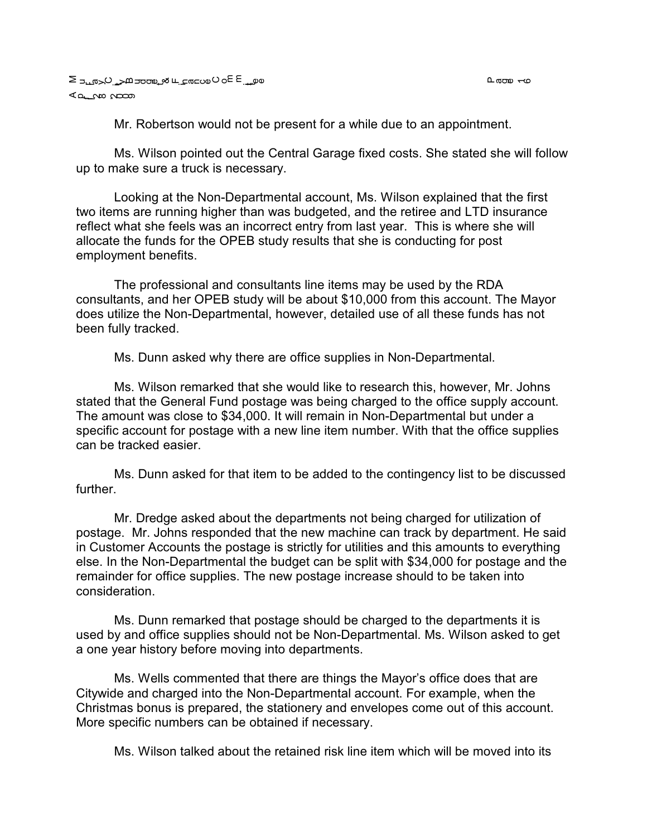Mr. Robertson would not be present for a while due to an appointment.

Ms. Wilson pointed out the Central Garage fixed costs. She stated she will follow up to make sure a truck is necessary.

Looking at the Non-Departmental account, Ms. Wilson explained that the first two items are running higher than was budgeted, and the retiree and LTD insurance reflect what she feels was an incorrect entry from last year. This is where she will allocate the funds for the OPEB study results that she is conducting for post employment benefits.

The professional and consultants line items may be used by the RDA consultants, and her OPEB study will be about \$10,000 from this account. The Mayor does utilize the Non-Departmental, however, detailed use of all these funds has not been fully tracked.

Ms. Dunn asked why there are office supplies in Non-Departmental.

Ms. Wilson remarked that she would like to research this, however, Mr. Johns stated that the General Fund postage was being charged to the office supply account. The amount was close to \$34,000. It will remain in Non-Departmental but under a specific account for postage with a new line item number. With that the office supplies can be tracked easier.

Ms. Dunn asked for that item to be added to the contingency list to be discussed further.

Mr. Dredge asked about the departments not being charged for utilization of postage. Mr. Johns responded that the new machine can track by department. He said in Customer Accounts the postage is strictly for utilities and this amounts to everything else. In the Non-Departmental the budget can be split with \$34,000 for postage and the remainder for office supplies. The new postage increase should to be taken into consideration.

Ms. Dunn remarked that postage should be charged to the departments it is used by and office supplies should not be Non-Departmental. Ms. Wilson asked to get a one year history before moving into departments.

Ms. Wells commented that there are things the Mayor's office does that are Citywide and charged into the Non-Departmental account. For example, when the Christmas bonus is prepared, the stationery and envelopes come out of this account. More specific numbers can be obtained if necessary.

Ms. Wilson talked about the retained risk line item which will be moved into its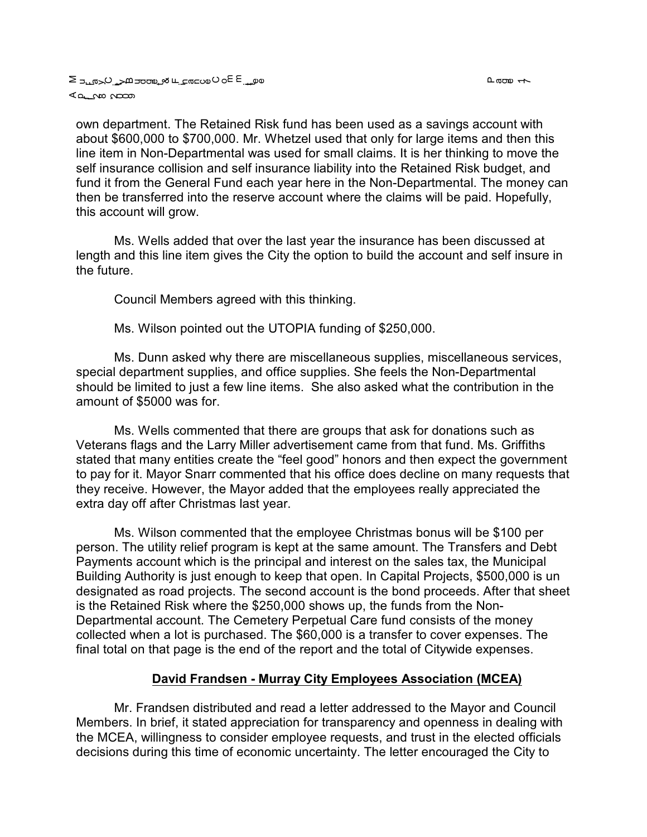own department. The Retained Risk fund has been used as a savings account with about \$600,000 to \$700,000. Mr. Whetzel used that only for large items and then this line item in Non-Departmental was used for small claims. It is her thinking to move the self insurance collision and self insurance liability into the Retained Risk budget, and fund it from the General Fund each year here in the Non-Departmental. The money can then be transferred into the reserve account where the claims will be paid. Hopefully, this account will grow.

Ms. Wells added that over the last year the insurance has been discussed at length and this line item gives the City the option to build the account and self insure in the future.

Council Members agreed with this thinking.

Ms. Wilson pointed out the UTOPIA funding of \$250,000.

Ms. Dunn asked why there are miscellaneous supplies, miscellaneous services, special department supplies, and office supplies. She feels the Non-Departmental should be limited to just a few line items. She also asked what the contribution in the amount of \$5000 was for.

Ms. Wells commented that there are groups that ask for donations such as Veterans flags and the Larry Miller advertisement came from that fund. Ms. Griffiths stated that many entities create the "feel good" honors and then expect the government to pay for it. Mayor Snarr commented that his office does decline on many requests that they receive. However, the Mayor added that the employees really appreciated the extra day off after Christmas last year.

Ms. Wilson commented that the employee Christmas bonus will be \$100 per person. The utility relief program is kept at the same amount. The Transfers and Debt Payments account which is the principal and interest on the sales tax, the Municipal Building Authority is just enough to keep that open. In Capital Projects, \$500,000 is un designated as road projects. The second account is the bond proceeds. After that sheet is the Retained Risk where the \$250,000 shows up, the funds from the Non-Departmental account. The Cemetery Perpetual Care fund consists of the money collected when a lot is purchased. The \$60,000 is a transfer to cover expenses. The final total on that page is the end of the report and the total of Citywide expenses.

#### **David Frandsen - Murray City Employees Association (MCEA)**

Mr. Frandsen distributed and read a letter addressed to the Mayor and Council Members. In brief, it stated appreciation for transparency and openness in dealing with the MCEA, willingness to consider employee requests, and trust in the elected officials decisions during this time of economic uncertainty. The letter encouraged the City to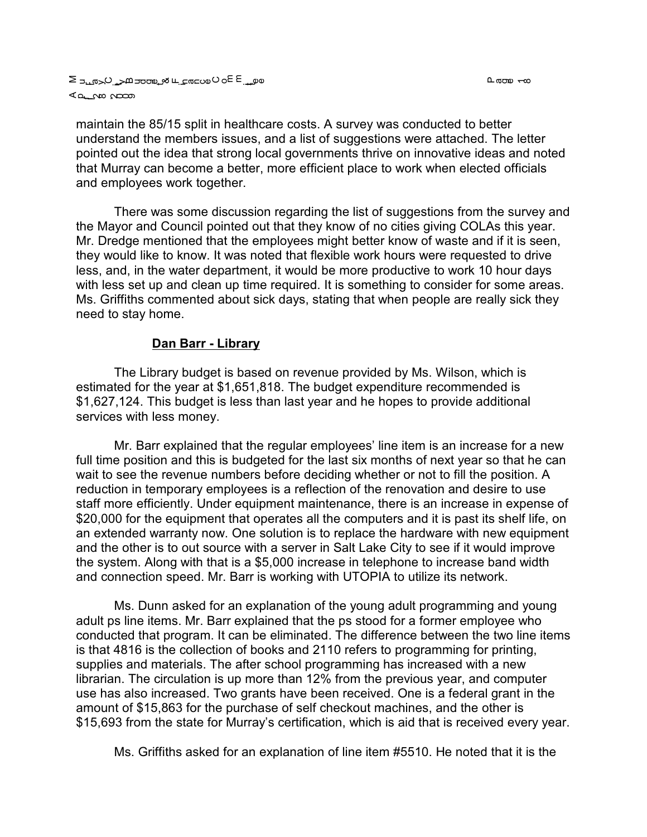maintain the 85/15 split in healthcare costs. A survey was conducted to better understand the members issues, and a list of suggestions were attached. The letter pointed out the idea that strong local governments thrive on innovative ideas and noted that Murray can become a better, more efficient place to work when elected officials and employees work together.

There was some discussion regarding the list of suggestions from the survey and the Mayor and Council pointed out that they know of no cities giving COLAs this year. Mr. Dredge mentioned that the employees might better know of waste and if it is seen, they would like to know. It was noted that flexible work hours were requested to drive less, and, in the water department, it would be more productive to work 10 hour days with less set up and clean up time required. It is something to consider for some areas. Ms. Griffiths commented about sick days, stating that when people are really sick they need to stay home.

### **Dan Barr - Library**

The Library budget is based on revenue provided by Ms. Wilson, which is estimated for the year at \$1,651,818. The budget expenditure recommended is \$1,627,124. This budget is less than last year and he hopes to provide additional services with less money.

Mr. Barr explained that the regular employees' line item is an increase for a new full time position and this is budgeted for the last six months of next year so that he can wait to see the revenue numbers before deciding whether or not to fill the position. A reduction in temporary employees is a reflection of the renovation and desire to use staff more efficiently. Under equipment maintenance, there is an increase in expense of \$20,000 for the equipment that operates all the computers and it is past its shelf life, on an extended warranty now. One solution is to replace the hardware with new equipment and the other is to out source with a server in Salt Lake City to see if it would improve the system. Along with that is a \$5,000 increase in telephone to increase band width and connection speed. Mr. Barr is working with UTOPIA to utilize its network.

Ms. Dunn asked for an explanation of the young adult programming and young adult ps line items. Mr. Barr explained that the ps stood for a former employee who conducted that program. It can be eliminated. The difference between the two line items is that 4816 is the collection of books and 2110 refers to programming for printing, supplies and materials. The after school programming has increased with a new librarian. The circulation is up more than 12% from the previous year, and computer use has also increased. Two grants have been received. One is a federal grant in the amount of \$15,863 for the purchase of self checkout machines, and the other is \$15,693 from the state for Murray's certification, which is aid that is received every year.

Ms. Griffiths asked for an explanation of line item #5510. He noted that it is the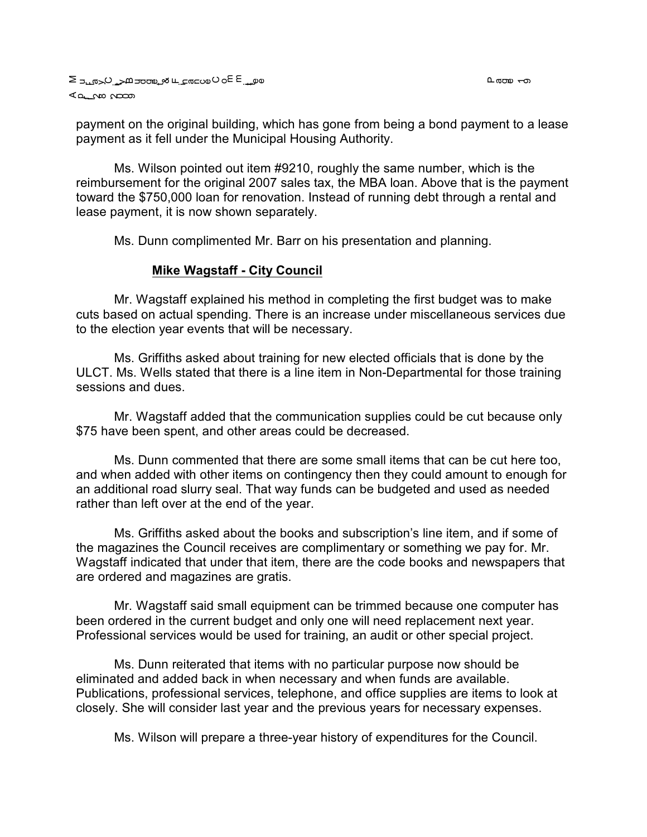payment on the original building, which has gone from being a bond payment to a lease payment as it fell under the Municipal Housing Authority.

Ms. Wilson pointed out item #9210, roughly the same number, which is the reimbursement for the original 2007 sales tax, the MBA loan. Above that is the payment toward the \$750,000 loan for renovation. Instead of running debt through a rental and lease payment, it is now shown separately.

Ms. Dunn complimented Mr. Barr on his presentation and planning.

### **Mike Wagstaff - City Council**

Mr. Wagstaff explained his method in completing the first budget was to make cuts based on actual spending. There is an increase under miscellaneous services due to the election year events that will be necessary.

Ms. Griffiths asked about training for new elected officials that is done by the ULCT. Ms. Wells stated that there is a line item in Non-Departmental for those training sessions and dues.

Mr. Wagstaff added that the communication supplies could be cut because only \$75 have been spent, and other areas could be decreased.

Ms. Dunn commented that there are some small items that can be cut here too, and when added with other items on contingency then they could amount to enough for an additional road slurry seal. That way funds can be budgeted and used as needed rather than left over at the end of the year.

Ms. Griffiths asked about the books and subscription's line item, and if some of the magazines the Council receives are complimentary or something we pay for. Mr. Wagstaff indicated that under that item, there are the code books and newspapers that are ordered and magazines are gratis.

Mr. Wagstaff said small equipment can be trimmed because one computer has been ordered in the current budget and only one will need replacement next year. Professional services would be used for training, an audit or other special project.

Ms. Dunn reiterated that items with no particular purpose now should be eliminated and added back in when necessary and when funds are available. Publications, professional services, telephone, and office supplies are items to look at closely. She will consider last year and the previous years for necessary expenses.

Ms. Wilson will prepare a three-year history of expenditures for the Council.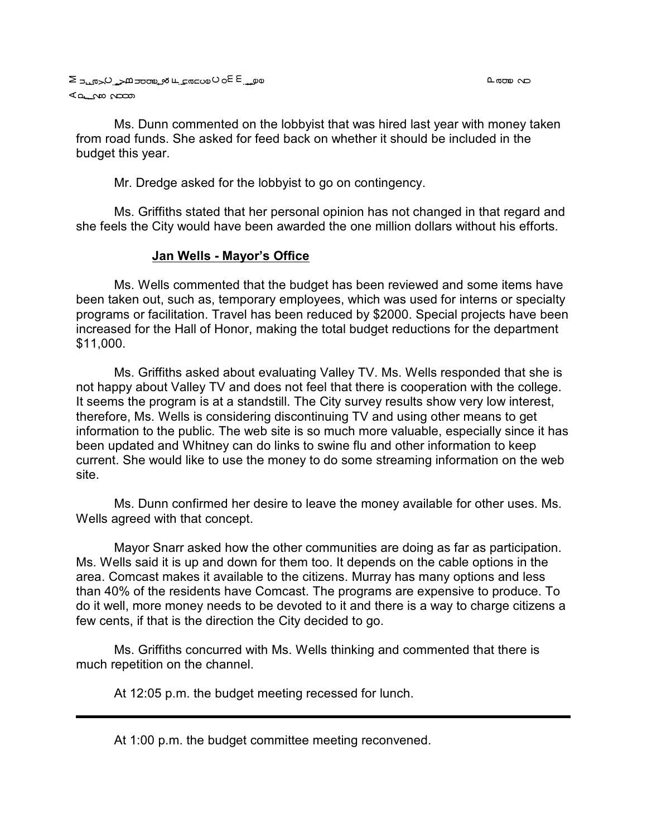Ms. Dunn commented on the lobbyist that was hired last year with money taken from road funds. She asked for feed back on whether it should be included in the budget this year.

Mr. Dredge asked for the lobbyist to go on contingency.

Ms. Griffiths stated that her personal opinion has not changed in that regard and she feels the City would have been awarded the one million dollars without his efforts.

### **Jan Wells - Mayor's Office**

Ms. Wells commented that the budget has been reviewed and some items have been taken out, such as, temporary employees, which was used for interns or specialty programs or facilitation. Travel has been reduced by \$2000. Special projects have been increased for the Hall of Honor, making the total budget reductions for the department \$11,000.

Ms. Griffiths asked about evaluating Valley TV. Ms. Wells responded that she is not happy about Valley TV and does not feel that there is cooperation with the college. It seems the program is at a standstill. The City survey results show very low interest, therefore, Ms. Wells is considering discontinuing TV and using other means to get information to the public. The web site is so much more valuable, especially since it has been updated and Whitney can do links to swine flu and other information to keep current. She would like to use the money to do some streaming information on the web site.

Ms. Dunn confirmed her desire to leave the money available for other uses. Ms. Wells agreed with that concept.

Mayor Snarr asked how the other communities are doing as far as participation. Ms. Wells said it is up and down for them too. It depends on the cable options in the area. Comcast makes it available to the citizens. Murray has many options and less than 40% of the residents have Comcast. The programs are expensive to produce. To do it well, more money needs to be devoted to it and there is a way to charge citizens a few cents, if that is the direction the City decided to go.

Ms. Griffiths concurred with Ms. Wells thinking and commented that there is much repetition on the channel.

At 12:05 p.m. the budget meeting recessed for lunch.

At 1:00 p.m. the budget committee meeting reconvened.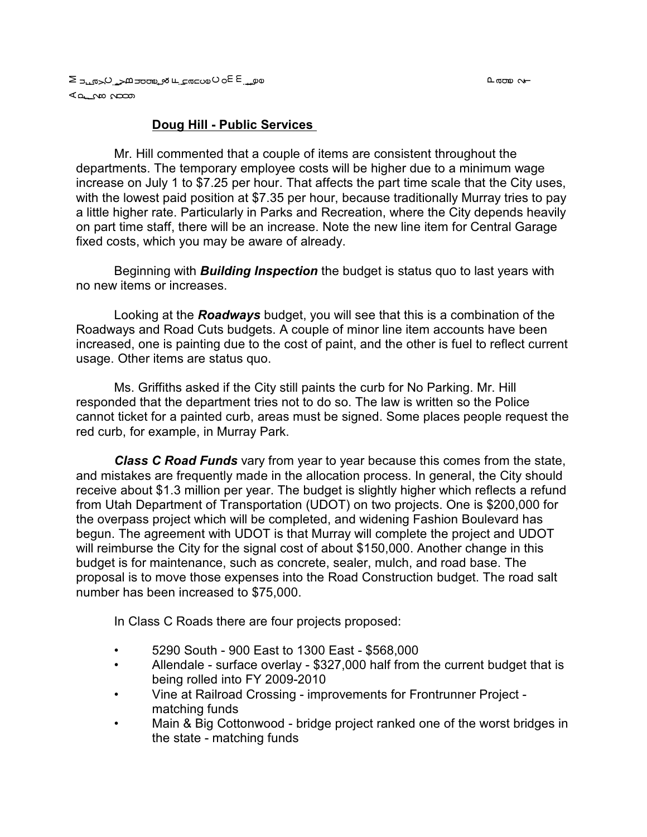## **Doug Hill - Public Services**

Mr. Hill commented that a couple of items are consistent throughout the departments. The temporary employee costs will be higher due to a minimum wage increase on July 1 to \$7.25 per hour. That affects the part time scale that the City uses, with the lowest paid position at \$7.35 per hour, because traditionally Murray tries to pay a little higher rate. Particularly in Parks and Recreation, where the City depends heavily on part time staff, there will be an increase. Note the new line item for Central Garage fixed costs, which you may be aware of already.

Beginning with *Building Inspection* the budget is status quo to last years with no new items or increases.

Looking at the *Roadways* budget, you will see that this is a combination of the Roadways and Road Cuts budgets. A couple of minor line item accounts have been increased, one is painting due to the cost of paint, and the other is fuel to reflect current usage. Other items are status quo.

Ms. Griffiths asked if the City still paints the curb for No Parking. Mr. Hill responded that the department tries not to do so. The law is written so the Police cannot ticket for a painted curb, areas must be signed. Some places people request the red curb, for example, in Murray Park.

*Class C Road Funds* vary from year to year because this comes from the state, and mistakes are frequently made in the allocation process. In general, the City should receive about \$1.3 million per year. The budget is slightly higher which reflects a refund from Utah Department of Transportation (UDOT) on two projects. One is \$200,000 for the overpass project which will be completed, and widening Fashion Boulevard has begun. The agreement with UDOT is that Murray will complete the project and UDOT will reimburse the City for the signal cost of about \$150,000. Another change in this budget is for maintenance, such as concrete, sealer, mulch, and road base. The proposal is to move those expenses into the Road Construction budget. The road salt number has been increased to \$75,000.

In Class C Roads there are four projects proposed:

- 5290 South 900 East to 1300 East \$568,000
- Allendale surface overlay \$327,000 half from the current budget that is being rolled into FY 2009-2010
- Vine at Railroad Crossing improvements for Frontrunner Project matching funds
- Main & Big Cottonwood bridge project ranked one of the worst bridges in the state - matching funds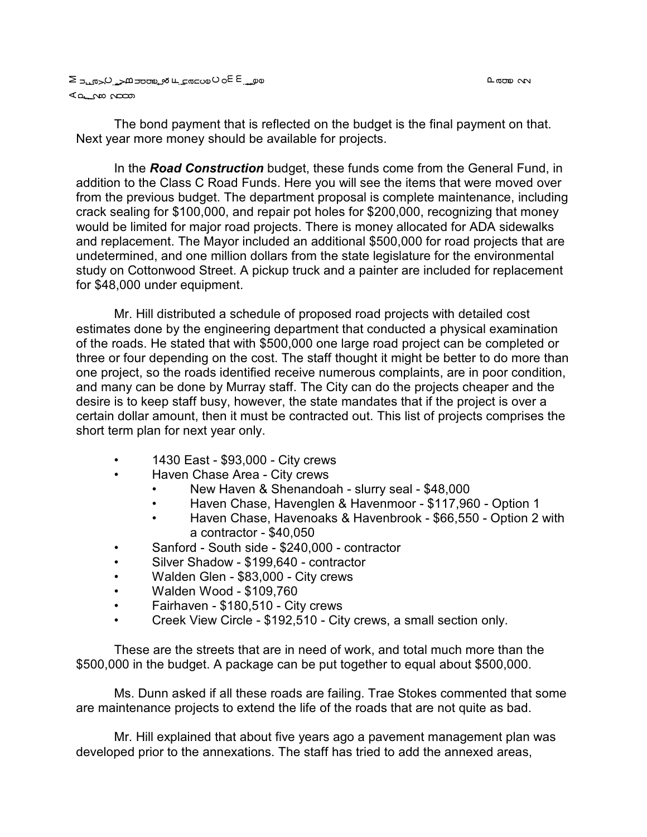L ao n

a على ب عام العام على الله على المعامل الكامل الحساد E so O wa ⊾<del>ه م</del>ات می

The bond payment that is reflected on the budget is the final payment on that. Next year more money should be available for projects.

In the *Road Construction* budget, these funds come from the General Fund, in addition to the Class C Road Funds. Here you will see the items that were moved over from the previous budget. The department proposal is complete maintenance, including crack sealing for \$100,000, and repair pot holes for \$200,000, recognizing that money would be limited for major road projects. There is money allocated for ADA sidewalks and replacement. The Mayor included an additional \$500,000 for road projects that are undetermined, and one million dollars from the state legislature for the environmental study on Cottonwood Street. A pickup truck and a painter are included for replacement for \$48,000 under equipment.

Mr. Hill distributed a schedule of proposed road projects with detailed cost estimates done by the engineering department that conducted a physical examination of the roads. He stated that with \$500,000 one large road project can be completed or three or four depending on the cost. The staff thought it might be better to do more than one project, so the roads identified receive numerous complaints, are in poor condition, and many can be done by Murray staff. The City can do the projects cheaper and the desire is to keep staff busy, however, the state mandates that if the project is over a certain dollar amount, then it must be contracted out. This list of projects comprises the short term plan for next year only.

- 1430 East \$93,000 City crews
- Haven Chase Area City crews
	- New Haven & Shenandoah slurry seal \$48,000
	- Haven Chase, Havenglen & Havenmoor \$117,960 Option 1
	- Haven Chase, Havenoaks & Havenbrook \$66,550 Option 2 with a contractor - \$40,050
- Sanford South side \$240,000 contractor
- Silver Shadow \$199,640 contractor
- Walden Glen \$83,000 City crews
- Walden Wood \$109,760
- Fairhaven \$180,510 City crews
- Creek View Circle \$192,510 City crews, a small section only.

These are the streets that are in need of work, and total much more than the \$500,000 in the budget. A package can be put together to equal about \$500,000.

Ms. Dunn asked if all these roads are failing. Trae Stokes commented that some are maintenance projects to extend the life of the roads that are not quite as bad.

Mr. Hill explained that about five years ago a pavement management plan was developed prior to the annexations. The staff has tried to add the annexed areas,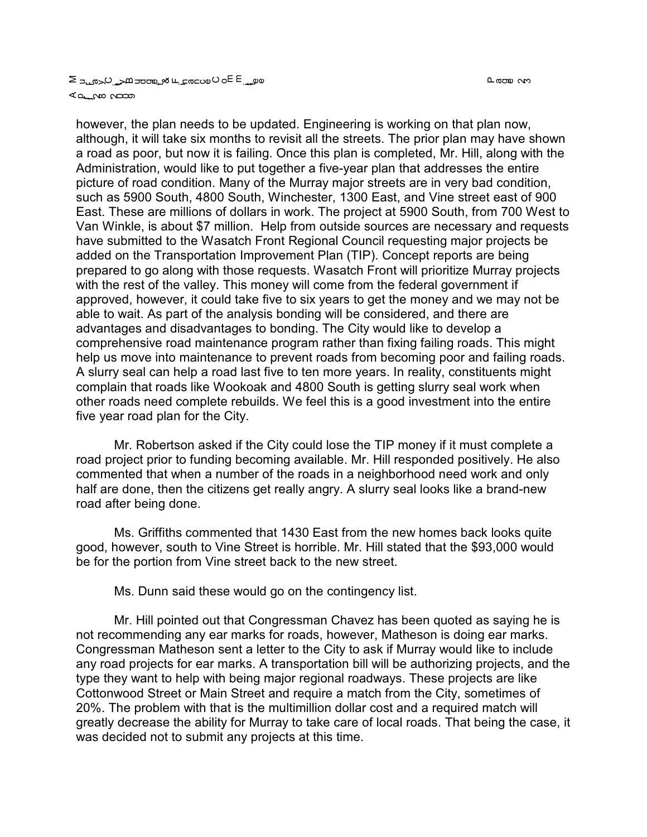however, the plan needs to be updated. Engineering is working on that plan now, although, it will take six months to revisit all the streets. The prior plan may have shown a road as poor, but now it is failing. Once this plan is completed, Mr. Hill, along with the Administration, would like to put together a five-year plan that addresses the entire picture of road condition. Many of the Murray major streets are in very bad condition, such as 5900 South, 4800 South, Winchester, 1300 East, and Vine street east of 900 East. These are millions of dollars in work. The project at 5900 South, from 700 West to Van Winkle, is about \$7 million. Help from outside sources are necessary and requests have submitted to the Wasatch Front Regional Council requesting major projects be added on the Transportation Improvement Plan (TIP). Concept reports are being prepared to go along with those requests. Wasatch Front will prioritize Murray projects with the rest of the valley. This money will come from the federal government if approved, however, it could take five to six years to get the money and we may not be able to wait. As part of the analysis bonding will be considered, and there are advantages and disadvantages to bonding. The City would like to develop a comprehensive road maintenance program rather than fixing failing roads. This might help us move into maintenance to prevent roads from becoming poor and failing roads. A slurry seal can help a road last five to ten more years. In reality, constituents might complain that roads like Wookoak and 4800 South is getting slurry seal work when other roads need complete rebuilds. We feel this is a good investment into the entire five year road plan for the City.

Mr. Robertson asked if the City could lose the TIP money if it must complete a road project prior to funding becoming available. Mr. Hill responded positively. He also commented that when a number of the roads in a neighborhood need work and only half are done, then the citizens get really angry. A slurry seal looks like a brand-new road after being done.

Ms. Griffiths commented that 1430 East from the new homes back looks quite good, however, south to Vine Street is horrible. Mr. Hill stated that the \$93,000 would be for the portion from Vine street back to the new street.

Ms. Dunn said these would go on the contingency list.

Mr. Hill pointed out that Congressman Chavez has been quoted as saying he is not recommending any ear marks for roads, however, Matheson is doing ear marks. Congressman Matheson sent a letter to the City to ask if Murray would like to include any road projects for ear marks. A transportation bill will be authorizing projects, and the type they want to help with being major regional roadways. These projects are like Cottonwood Street or Main Street and require a match from the City, sometimes of 20%. The problem with that is the multimillion dollar cost and a required match will greatly decrease the ability for Murray to take care of local roads. That being the case, it was decided not to submit any projects at this time.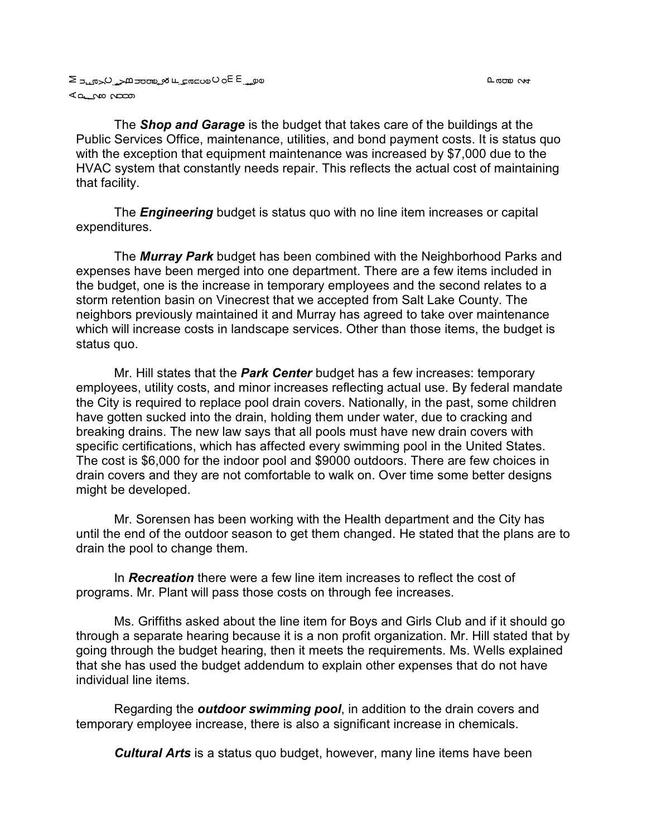The *Shop and Garage* is the budget that takes care of the buildings at the Public Services Office, maintenance, utilities, and bond payment costs. It is status quo with the exception that equipment maintenance was increased by \$7,000 due to the HVAC system that constantly needs repair. This reflects the actual cost of maintaining that facility.

The *Engineering* budget is status quo with no line item increases or capital expenditures.

The *Murray Park* budget has been combined with the Neighborhood Parks and expenses have been merged into one department. There are a few items included in the budget, one is the increase in temporary employees and the second relates to a storm retention basin on Vinecrest that we accepted from Salt Lake County. The neighbors previously maintained it and Murray has agreed to take over maintenance which will increase costs in landscape services. Other than those items, the budget is status quo.

Mr. Hill states that the *Park Center* budget has a few increases: temporary employees, utility costs, and minor increases reflecting actual use. By federal mandate the City is required to replace pool drain covers. Nationally, in the past, some children have gotten sucked into the drain, holding them under water, due to cracking and breaking drains. The new law says that all pools must have new drain covers with specific certifications, which has affected every swimming pool in the United States. The cost is \$6,000 for the indoor pool and \$9000 outdoors. There are few choices in drain covers and they are not comfortable to walk on. Over time some better designs might be developed.

Mr. Sorensen has been working with the Health department and the City has until the end of the outdoor season to get them changed. He stated that the plans are to drain the pool to change them.

In *Recreation* there were a few line item increases to reflect the cost of programs. Mr. Plant will pass those costs on through fee increases.

Ms. Griffiths asked about the line item for Boys and Girls Club and if it should go through a separate hearing because it is a non profit organization. Mr. Hill stated that by going through the budget hearing, then it meets the requirements. Ms. Wells explained that she has used the budget addendum to explain other expenses that do not have individual line items.

Regarding the *outdoor swimming pool*, in addition to the drain covers and temporary employee increase, there is also a significant increase in chemicals.

*Cultural Arts* is a status quo budget, however, many line items have been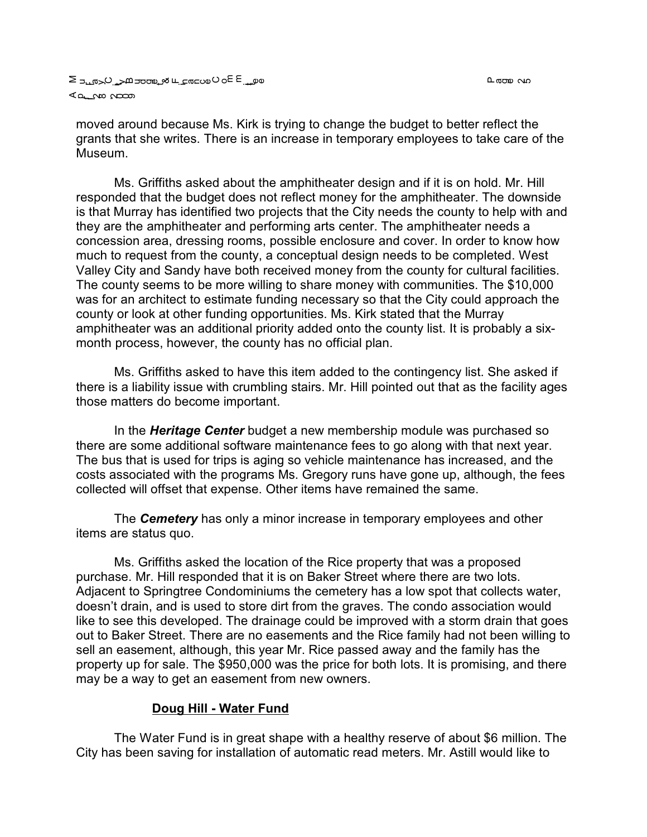moved around because Ms. Kirk is trying to change the budget to better reflect the grants that she writes. There is an increase in temporary employees to take care of the Museum.

Ms. Griffiths asked about the amphitheater design and if it is on hold. Mr. Hill responded that the budget does not reflect money for the amphitheater. The downside is that Murray has identified two projects that the City needs the county to help with and they are the amphitheater and performing arts center. The amphitheater needs a concession area, dressing rooms, possible enclosure and cover. In order to know how much to request from the county, a conceptual design needs to be completed. West Valley City and Sandy have both received money from the county for cultural facilities. The county seems to be more willing to share money with communities. The \$10,000 was for an architect to estimate funding necessary so that the City could approach the county or look at other funding opportunities. Ms. Kirk stated that the Murray amphitheater was an additional priority added onto the county list. It is probably a sixmonth process, however, the county has no official plan.

Ms. Griffiths asked to have this item added to the contingency list. She asked if there is a liability issue with crumbling stairs. Mr. Hill pointed out that as the facility ages those matters do become important.

In the *Heritage Center* budget a new membership module was purchased so there are some additional software maintenance fees to go along with that next year. The bus that is used for trips is aging so vehicle maintenance has increased, and the costs associated with the programs Ms. Gregory runs have gone up, although, the fees collected will offset that expense. Other items have remained the same.

The *Cemetery* has only a minor increase in temporary employees and other items are status quo.

Ms. Griffiths asked the location of the Rice property that was a proposed purchase. Mr. Hill responded that it is on Baker Street where there are two lots. Adjacent to Springtree Condominiums the cemetery has a low spot that collects water, doesn't drain, and is used to store dirt from the graves. The condo association would like to see this developed. The drainage could be improved with a storm drain that goes out to Baker Street. There are no easements and the Rice family had not been willing to sell an easement, although, this year Mr. Rice passed away and the family has the property up for sale. The \$950,000 was the price for both lots. It is promising, and there may be a way to get an easement from new owners.

### **Doug Hill - Water Fund**

The Water Fund is in great shape with a healthy reserve of about \$6 million. The City has been saving for installation of automatic read meters. Mr. Astill would like to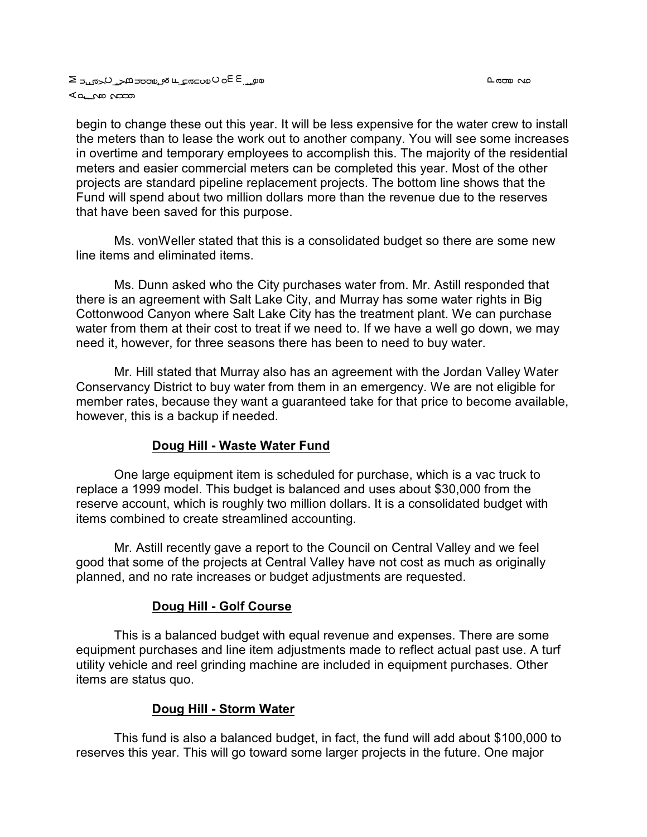begin to change these out this year. It will be less expensive for the water crew to install the meters than to lease the work out to another company. You will see some increases in overtime and temporary employees to accomplish this. The majority of the residential meters and easier commercial meters can be completed this year. Most of the other projects are standard pipeline replacement projects. The bottom line shows that the Fund will spend about two million dollars more than the revenue due to the reserves that have been saved for this purpose.

Ms. vonWeller stated that this is a consolidated budget so there are some new line items and eliminated items.

Ms. Dunn asked who the City purchases water from. Mr. Astill responded that there is an agreement with Salt Lake City, and Murray has some water rights in Big Cottonwood Canyon where Salt Lake City has the treatment plant. We can purchase water from them at their cost to treat if we need to. If we have a well go down, we may need it, however, for three seasons there has been to need to buy water.

Mr. Hill stated that Murray also has an agreement with the Jordan Valley Water Conservancy District to buy water from them in an emergency. We are not eligible for member rates, because they want a guaranteed take for that price to become available, however, this is a backup if needed.

#### **Doug Hill - Waste Water Fund**

One large equipment item is scheduled for purchase, which is a vac truck to replace a 1999 model. This budget is balanced and uses about \$30,000 from the reserve account, which is roughly two million dollars. It is a consolidated budget with items combined to create streamlined accounting.

Mr. Astill recently gave a report to the Council on Central Valley and we feel good that some of the projects at Central Valley have not cost as much as originally planned, and no rate increases or budget adjustments are requested.

#### **Doug Hill - Golf Course**

This is a balanced budget with equal revenue and expenses. There are some equipment purchases and line item adjustments made to reflect actual past use. A turf utility vehicle and reel grinding machine are included in equipment purchases. Other items are status quo.

### **Doug Hill - Storm Water**

This fund is also a balanced budget, in fact, the fund will add about \$100,000 to reserves this year. This will go toward some larger projects in the future. One major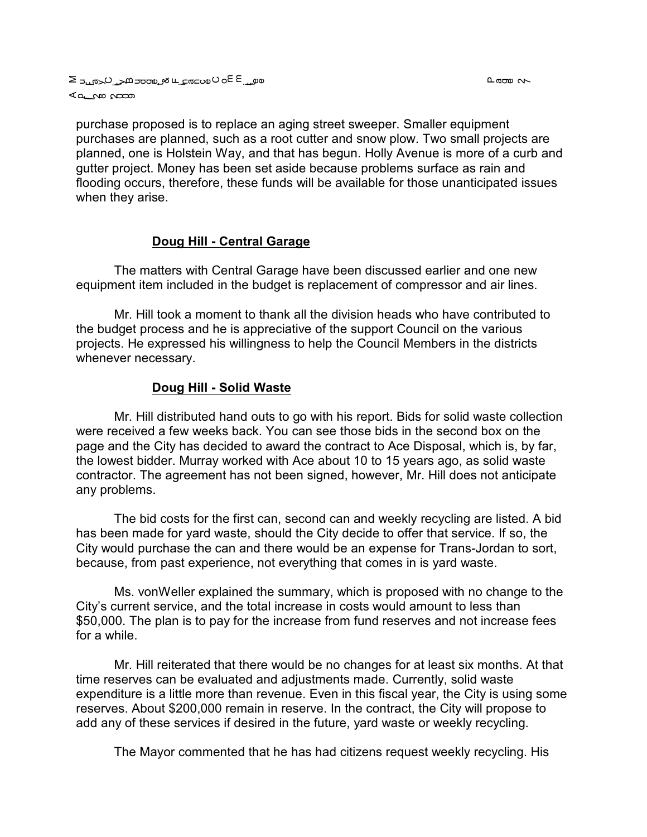purchase proposed is to replace an aging street sweeper. Smaller equipment purchases are planned, such as a root cutter and snow plow. Two small projects are planned, one is Holstein Way, and that has begun. Holly Avenue is more of a curb and gutter project. Money has been set aside because problems surface as rain and flooding occurs, therefore, these funds will be available for those unanticipated issues when they arise.

## **Doug Hill - Central Garage**

The matters with Central Garage have been discussed earlier and one new equipment item included in the budget is replacement of compressor and air lines.

Mr. Hill took a moment to thank all the division heads who have contributed to the budget process and he is appreciative of the support Council on the various projects. He expressed his willingness to help the Council Members in the districts whenever necessary.

## **Doug Hill - Solid Waste**

Mr. Hill distributed hand outs to go with his report. Bids for solid waste collection were received a few weeks back. You can see those bids in the second box on the page and the City has decided to award the contract to Ace Disposal, which is, by far, the lowest bidder. Murray worked with Ace about 10 to 15 years ago, as solid waste contractor. The agreement has not been signed, however, Mr. Hill does not anticipate any problems.

The bid costs for the first can, second can and weekly recycling are listed. A bid has been made for yard waste, should the City decide to offer that service. If so, the City would purchase the can and there would be an expense for Trans-Jordan to sort, because, from past experience, not everything that comes in is yard waste.

Ms. vonWeller explained the summary, which is proposed with no change to the City's current service, and the total increase in costs would amount to less than \$50,000. The plan is to pay for the increase from fund reserves and not increase fees for a while.

Mr. Hill reiterated that there would be no changes for at least six months. At that time reserves can be evaluated and adjustments made. Currently, solid waste expenditure is a little more than revenue. Even in this fiscal year, the City is using some reserves. About \$200,000 remain in reserve. In the contract, the City will propose to add any of these services if desired in the future, yard waste or weekly recycling.

The Mayor commented that he has had citizens request weekly recycling. His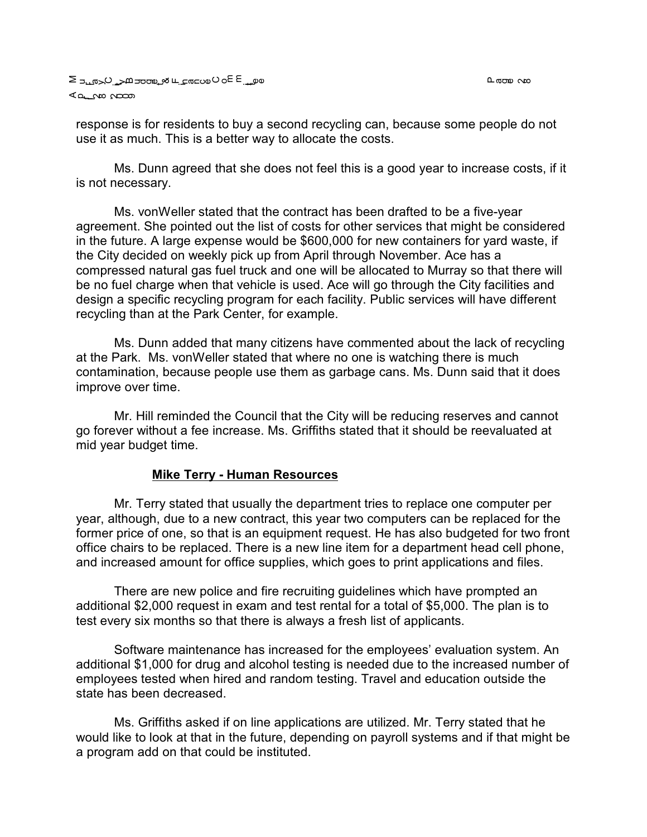വരാണം *പ*ര

response is for residents to buy a second recycling can, because some people do not use it as much. This is a better way to allocate the costs.

Ms. Dunn agreed that she does not feel this is a good year to increase costs, if it is not necessary.

Ms. vonWeller stated that the contract has been drafted to be a five-year agreement. She pointed out the list of costs for other services that might be considered in the future. A large expense would be \$600,000 for new containers for yard waste, if the City decided on weekly pick up from April through November. Ace has a compressed natural gas fuel truck and one will be allocated to Murray so that there will be no fuel charge when that vehicle is used. Ace will go through the City facilities and design a specific recycling program for each facility. Public services will have different recycling than at the Park Center, for example.

Ms. Dunn added that many citizens have commented about the lack of recycling at the Park. Ms. vonWeller stated that where no one is watching there is much contamination, because people use them as garbage cans. Ms. Dunn said that it does improve over time.

Mr. Hill reminded the Council that the City will be reducing reserves and cannot go forever without a fee increase. Ms. Griffiths stated that it should be reevaluated at mid year budget time.

### **Mike Terry - Human Resources**

Mr. Terry stated that usually the department tries to replace one computer per year, although, due to a new contract, this year two computers can be replaced for the former price of one, so that is an equipment request. He has also budgeted for two front office chairs to be replaced. There is a new line item for a department head cell phone, and increased amount for office supplies, which goes to print applications and files.

There are new police and fire recruiting guidelines which have prompted an additional \$2,000 request in exam and test rental for a total of \$5,000. The plan is to test every six months so that there is always a fresh list of applicants.

Software maintenance has increased for the employees' evaluation system. An additional \$1,000 for drug and alcohol testing is needed due to the increased number of employees tested when hired and random testing. Travel and education outside the state has been decreased.

Ms. Griffiths asked if on line applications are utilized. Mr. Terry stated that he would like to look at that in the future, depending on payroll systems and if that might be a program add on that could be instituted.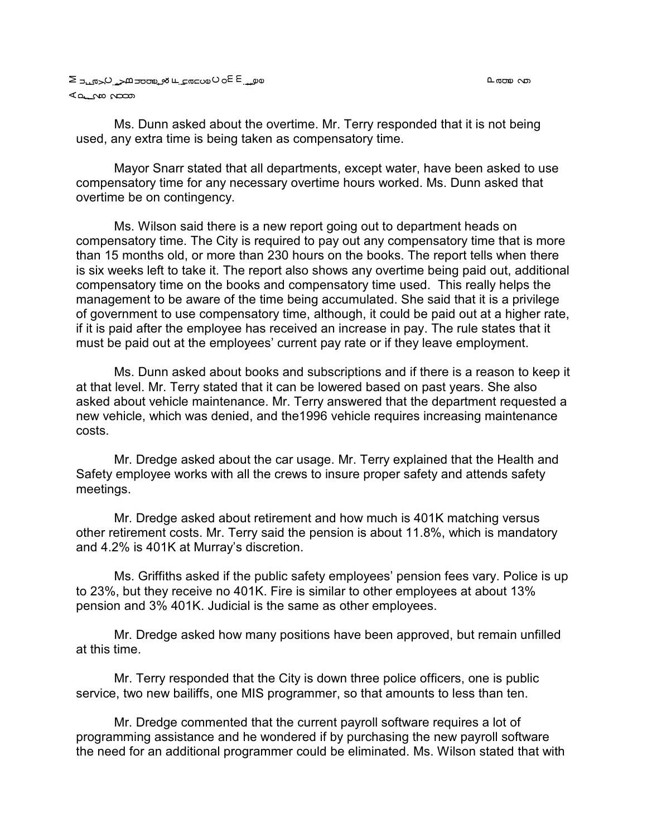Ms. Dunn asked about the overtime. Mr. Terry responded that it is not being used, any extra time is being taken as compensatory time.

Mayor Snarr stated that all departments, except water, have been asked to use compensatory time for any necessary overtime hours worked. Ms. Dunn asked that overtime be on contingency.

Ms. Wilson said there is a new report going out to department heads on compensatory time. The City is required to pay out any compensatory time that is more than 15 months old, or more than 230 hours on the books. The report tells when there is six weeks left to take it. The report also shows any overtime being paid out, additional compensatory time on the books and compensatory time used. This really helps the management to be aware of the time being accumulated. She said that it is a privilege of government to use compensatory time, although, it could be paid out at a higher rate, if it is paid after the employee has received an increase in pay. The rule states that it must be paid out at the employees' current pay rate or if they leave employment.

Ms. Dunn asked about books and subscriptions and if there is a reason to keep it at that level. Mr. Terry stated that it can be lowered based on past years. She also asked about vehicle maintenance. Mr. Terry answered that the department requested a new vehicle, which was denied, and the1996 vehicle requires increasing maintenance costs.

Mr. Dredge asked about the car usage. Mr. Terry explained that the Health and Safety employee works with all the crews to insure proper safety and attends safety meetings.

Mr. Dredge asked about retirement and how much is 401K matching versus other retirement costs. Mr. Terry said the pension is about 11.8%, which is mandatory and 4.2% is 401K at Murray's discretion.

Ms. Griffiths asked if the public safety employees' pension fees vary. Police is up to 23%, but they receive no 401K. Fire is similar to other employees at about 13% pension and 3% 401K. Judicial is the same as other employees.

Mr. Dredge asked how many positions have been approved, but remain unfilled at this time.

Mr. Terry responded that the City is down three police officers, one is public service, two new bailiffs, one MIS programmer, so that amounts to less than ten.

Mr. Dredge commented that the current payroll software requires a lot of programming assistance and he wondered if by purchasing the new payroll software the need for an additional programmer could be eliminated. Ms. Wilson stated that with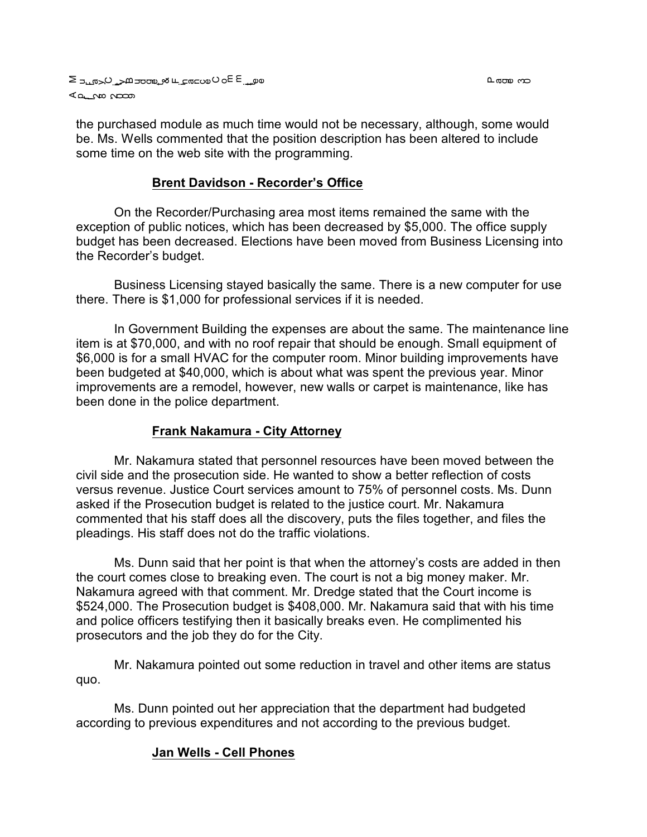ငာ ကာ

the purchased module as much time would not be necessary, although, some would be. Ms. Wells commented that the position description has been altered to include some time on the web site with the programming.

## **Brent Davidson - Recorder's Office**

On the Recorder/Purchasing area most items remained the same with the exception of public notices, which has been decreased by \$5,000. The office supply budget has been decreased. Elections have been moved from Business Licensing into the Recorder's budget.

Business Licensing stayed basically the same. There is a new computer for use there. There is \$1,000 for professional services if it is needed.

In Government Building the expenses are about the same. The maintenance line item is at \$70,000, and with no roof repair that should be enough. Small equipment of \$6,000 is for a small HVAC for the computer room. Minor building improvements have been budgeted at \$40,000, which is about what was spent the previous year. Minor improvements are a remodel, however, new walls or carpet is maintenance, like has been done in the police department.

## **Frank Nakamura - City Attorney**

Mr. Nakamura stated that personnel resources have been moved between the civil side and the prosecution side. He wanted to show a better reflection of costs versus revenue. Justice Court services amount to 75% of personnel costs. Ms. Dunn asked if the Prosecution budget is related to the justice court. Mr. Nakamura commented that his staff does all the discovery, puts the files together, and files the pleadings. His staff does not do the traffic violations.

Ms. Dunn said that her point is that when the attorney's costs are added in then the court comes close to breaking even. The court is not a big money maker. Mr. Nakamura agreed with that comment. Mr. Dredge stated that the Court income is \$524,000. The Prosecution budget is \$408,000. Mr. Nakamura said that with his time and police officers testifying then it basically breaks even. He complimented his prosecutors and the job they do for the City.

Mr. Nakamura pointed out some reduction in travel and other items are status quo.

Ms. Dunn pointed out her appreciation that the department had budgeted according to previous expenditures and not according to the previous budget.

## **Jan Wells - Cell Phones**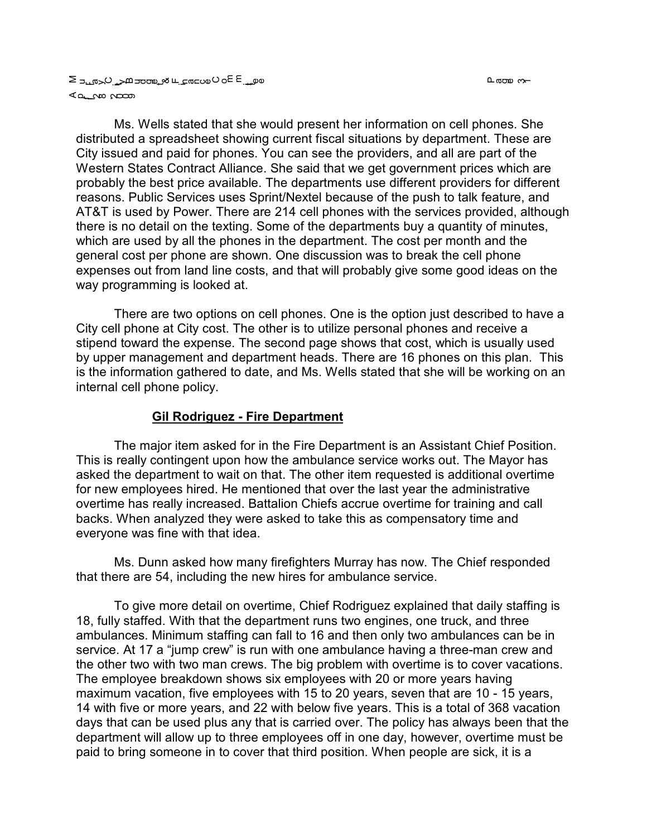ഥ രാസ ഗ—

a على ب عام العام على الم عليه عليه عليه الحي ⊾<del>ه م</del>ات می

Ms. Wells stated that she would present her information on cell phones. She distributed a spreadsheet showing current fiscal situations by department. These are City issued and paid for phones. You can see the providers, and all are part of the Western States Contract Alliance. She said that we get government prices which are probably the best price available. The departments use different providers for different reasons. Public Services uses Sprint/Nextel because of the push to talk feature, and AT&T is used by Power. There are 214 cell phones with the services provided, although there is no detail on the texting. Some of the departments buy a quantity of minutes, which are used by all the phones in the department. The cost per month and the general cost per phone are shown. One discussion was to break the cell phone expenses out from land line costs, and that will probably give some good ideas on the way programming is looked at.

There are two options on cell phones. One is the option just described to have a City cell phone at City cost. The other is to utilize personal phones and receive a stipend toward the expense. The second page shows that cost, which is usually used by upper management and department heads. There are 16 phones on this plan. This is the information gathered to date, and Ms. Wells stated that she will be working on an internal cell phone policy.

### **Gil Rodriguez - Fire Department**

The major item asked for in the Fire Department is an Assistant Chief Position. This is really contingent upon how the ambulance service works out. The Mayor has asked the department to wait on that. The other item requested is additional overtime for new employees hired. He mentioned that over the last year the administrative overtime has really increased. Battalion Chiefs accrue overtime for training and call backs. When analyzed they were asked to take this as compensatory time and everyone was fine with that idea.

Ms. Dunn asked how many firefighters Murray has now. The Chief responded that there are 54, including the new hires for ambulance service.

To give more detail on overtime, Chief Rodriguez explained that daily staffing is 18, fully staffed. With that the department runs two engines, one truck, and three ambulances. Minimum staffing can fall to 16 and then only two ambulances can be in service. At 17 a "jump crew" is run with one ambulance having a three-man crew and the other two with two man crews. The big problem with overtime is to cover vacations. The employee breakdown shows six employees with 20 or more years having maximum vacation, five employees with 15 to 20 years, seven that are 10 - 15 years, 14 with five or more years, and 22 with below five years. This is a total of 368 vacation days that can be used plus any that is carried over. The policy has always been that the department will allow up to three employees off in one day, however, overtime must be paid to bring someone in to cover that third position. When people are sick, it is a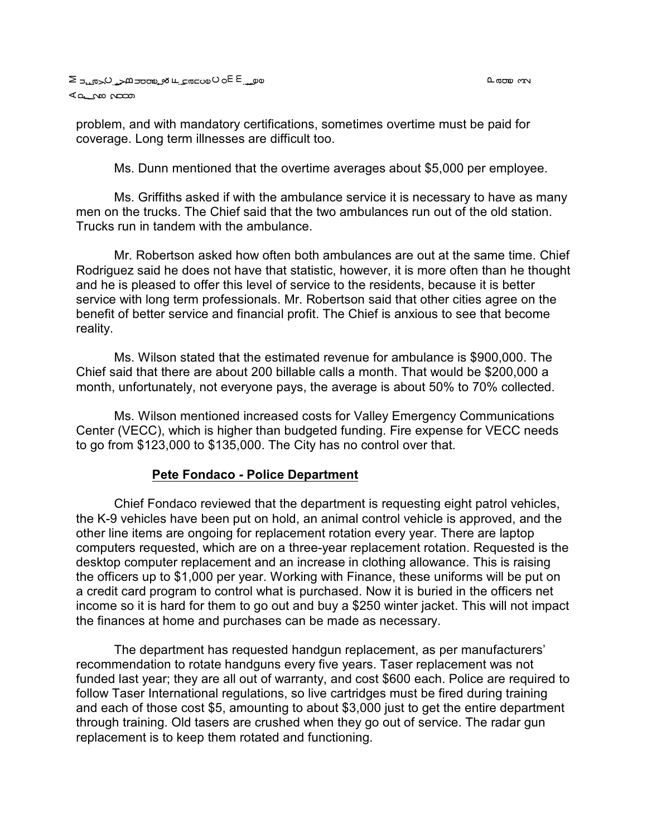problem, and with mandatory certifications, sometimes overtime must be paid for coverage. Long term illnesses are difficult too.

Ms. Dunn mentioned that the overtime averages about \$5,000 per employee.

Ms. Griffiths asked if with the ambulance service it is necessary to have as many men on the trucks. The Chief said that the two ambulances run out of the old station. Trucks run in tandem with the ambulance.

Mr. Robertson asked how often both ambulances are out at the same time. Chief Rodriguez said he does not have that statistic, however, it is more often than he thought and he is pleased to offer this level of service to the residents, because it is better service with long term professionals. Mr. Robertson said that other cities agree on the benefit of better service and financial profit. The Chief is anxious to see that become reality.

Ms. Wilson stated that the estimated revenue for ambulance is \$900,000. The Chief said that there are about 200 billable calls a month. That would be \$200,000 a month, unfortunately, not everyone pays, the average is about 50% to 70% collected.

Ms. Wilson mentioned increased costs for Valley Emergency Communications Center (VECC), which is higher than budgeted funding. Fire expense for VECC needs to go from \$123,000 to \$135,000. The City has no control over that.

#### **Pete Fondaco - Police Department**

Chief Fondaco reviewed that the department is requesting eight patrol vehicles, the K-9 vehicles have been put on hold, an animal control vehicle is approved, and the other line items are ongoing for replacement rotation every year. There are laptop computers requested, which are on a three-year replacement rotation. Requested is the desktop computer replacement and an increase in clothing allowance. This is raising the officers up to \$1,000 per year. Working with Finance, these uniforms will be put on a credit card program to control what is purchased. Now it is buried in the officers net income so it is hard for them to go out and buy a \$250 winter jacket. This will not impact the finances at home and purchases can be made as necessary.

The department has requested handgun replacement, as per manufacturers' recommendation to rotate handguns every five years. Taser replacement was not funded last year; they are all out of warranty, and cost \$600 each. Police are required to follow Taser International regulations, so live cartridges must be fired during training and each of those cost \$5, amounting to about \$3,000 just to get the entire department through training. Old tasers are crushed when they go out of service. The radar gun replacement is to keep them rotated and functioning.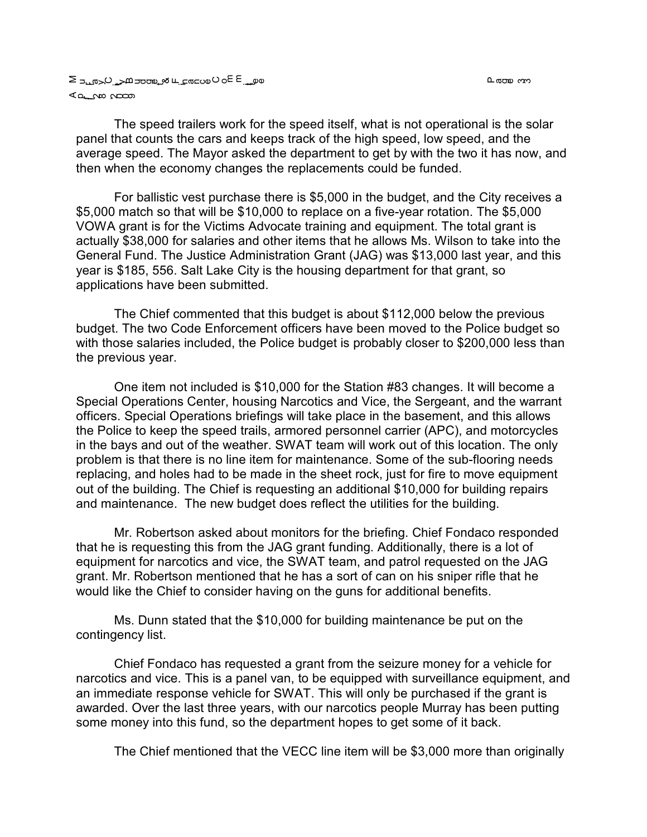ო დთო ს

The speed trailers work for the speed itself, what is not operational is the solar panel that counts the cars and keeps track of the high speed, low speed, and the average speed. The Mayor asked the department to get by with the two it has now, and then when the economy changes the replacements could be funded.

For ballistic vest purchase there is \$5,000 in the budget, and the City receives a \$5,000 match so that will be \$10,000 to replace on a five-year rotation. The \$5,000 VOWA grant is for the Victims Advocate training and equipment. The total grant is actually \$38,000 for salaries and other items that he allows Ms. Wilson to take into the General Fund. The Justice Administration Grant (JAG) was \$13,000 last year, and this year is \$185, 556. Salt Lake City is the housing department for that grant, so applications have been submitted.

The Chief commented that this budget is about \$112,000 below the previous budget. The two Code Enforcement officers have been moved to the Police budget so with those salaries included, the Police budget is probably closer to \$200,000 less than the previous year.

One item not included is \$10,000 for the Station #83 changes. It will become a Special Operations Center, housing Narcotics and Vice, the Sergeant, and the warrant officers. Special Operations briefings will take place in the basement, and this allows the Police to keep the speed trails, armored personnel carrier (APC), and motorcycles in the bays and out of the weather. SWAT team will work out of this location. The only problem is that there is no line item for maintenance. Some of the sub-flooring needs replacing, and holes had to be made in the sheet rock, just for fire to move equipment out of the building. The Chief is requesting an additional \$10,000 for building repairs and maintenance. The new budget does reflect the utilities for the building.

Mr. Robertson asked about monitors for the briefing. Chief Fondaco responded that he is requesting this from the JAG grant funding. Additionally, there is a lot of equipment for narcotics and vice, the SWAT team, and patrol requested on the JAG grant. Mr. Robertson mentioned that he has a sort of can on his sniper rifle that he would like the Chief to consider having on the guns for additional benefits.

Ms. Dunn stated that the \$10,000 for building maintenance be put on the contingency list.

Chief Fondaco has requested a grant from the seizure money for a vehicle for narcotics and vice. This is a panel van, to be equipped with surveillance equipment, and an immediate response vehicle for SWAT. This will only be purchased if the grant is awarded. Over the last three years, with our narcotics people Murray has been putting some money into this fund, so the department hopes to get some of it back.

The Chief mentioned that the VECC line item will be \$3,000 more than originally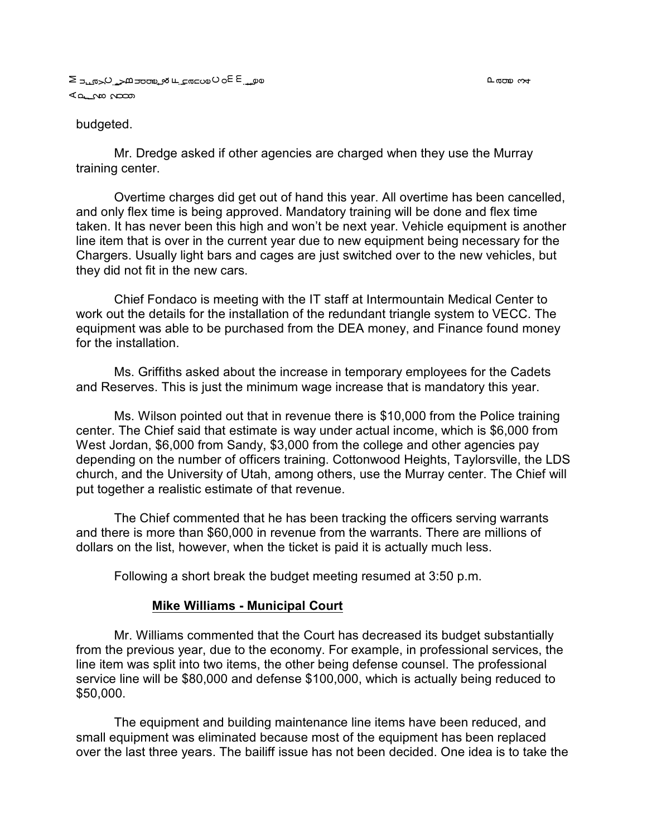#### budgeted.

Mr. Dredge asked if other agencies are charged when they use the Murray training center.

Overtime charges did get out of hand this year. All overtime has been cancelled, and only flex time is being approved. Mandatory training will be done and flex time taken. It has never been this high and won't be next year. Vehicle equipment is another line item that is over in the current year due to new equipment being necessary for the Chargers. Usually light bars and cages are just switched over to the new vehicles, but they did not fit in the new cars.

Chief Fondaco is meeting with the IT staff at Intermountain Medical Center to work out the details for the installation of the redundant triangle system to VECC. The equipment was able to be purchased from the DEA money, and Finance found money for the installation.

Ms. Griffiths asked about the increase in temporary employees for the Cadets and Reserves. This is just the minimum wage increase that is mandatory this year.

Ms. Wilson pointed out that in revenue there is \$10,000 from the Police training center. The Chief said that estimate is way under actual income, which is \$6,000 from West Jordan, \$6,000 from Sandy, \$3,000 from the college and other agencies pay depending on the number of officers training. Cottonwood Heights, Taylorsville, the LDS church, and the University of Utah, among others, use the Murray center. The Chief will put together a realistic estimate of that revenue.

The Chief commented that he has been tracking the officers serving warrants and there is more than \$60,000 in revenue from the warrants. There are millions of dollars on the list, however, when the ticket is paid it is actually much less.

Following a short break the budget meeting resumed at 3:50 p.m.

#### **Mike Williams - Municipal Court**

Mr. Williams commented that the Court has decreased its budget substantially from the previous year, due to the economy. For example, in professional services, the line item was split into two items, the other being defense counsel. The professional service line will be \$80,000 and defense \$100,000, which is actually being reduced to \$50,000.

The equipment and building maintenance line items have been reduced, and small equipment was eliminated because most of the equipment has been replaced over the last three years. The bailiff issue has not been decided. One idea is to take the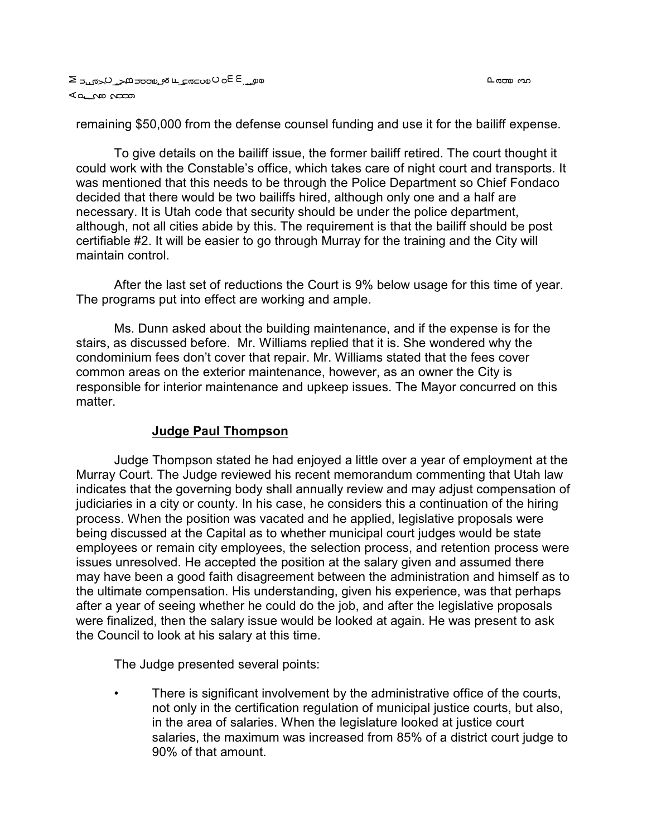L രാത പാ

remaining \$50,000 from the defense counsel funding and use it for the bailiff expense.

To give details on the bailiff issue, the former bailiff retired. The court thought it could work with the Constable's office, which takes care of night court and transports. It was mentioned that this needs to be through the Police Department so Chief Fondaco decided that there would be two bailiffs hired, although only one and a half are necessary. It is Utah code that security should be under the police department, although, not all cities abide by this. The requirement is that the bailiff should be post certifiable #2. It will be easier to go through Murray for the training and the City will maintain control.

After the last set of reductions the Court is 9% below usage for this time of year. The programs put into effect are working and ample.

Ms. Dunn asked about the building maintenance, and if the expense is for the stairs, as discussed before. Mr. Williams replied that it is. She wondered why the condominium fees don't cover that repair. Mr. Williams stated that the fees cover common areas on the exterior maintenance, however, as an owner the City is responsible for interior maintenance and upkeep issues. The Mayor concurred on this matter.

## **Judge Paul Thompson**

Judge Thompson stated he had enjoyed a little over a year of employment at the Murray Court. The Judge reviewed his recent memorandum commenting that Utah law indicates that the governing body shall annually review and may adjust compensation of judiciaries in a city or county. In his case, he considers this a continuation of the hiring process. When the position was vacated and he applied, legislative proposals were being discussed at the Capital as to whether municipal court judges would be state employees or remain city employees, the selection process, and retention process were issues unresolved. He accepted the position at the salary given and assumed there may have been a good faith disagreement between the administration and himself as to the ultimate compensation. His understanding, given his experience, was that perhaps after a year of seeing whether he could do the job, and after the legislative proposals were finalized, then the salary issue would be looked at again. He was present to ask the Council to look at his salary at this time.

The Judge presented several points:

• There is significant involvement by the administrative office of the courts, not only in the certification regulation of municipal justice courts, but also, in the area of salaries. When the legislature looked at justice court salaries, the maximum was increased from 85% of a district court judge to 90% of that amount.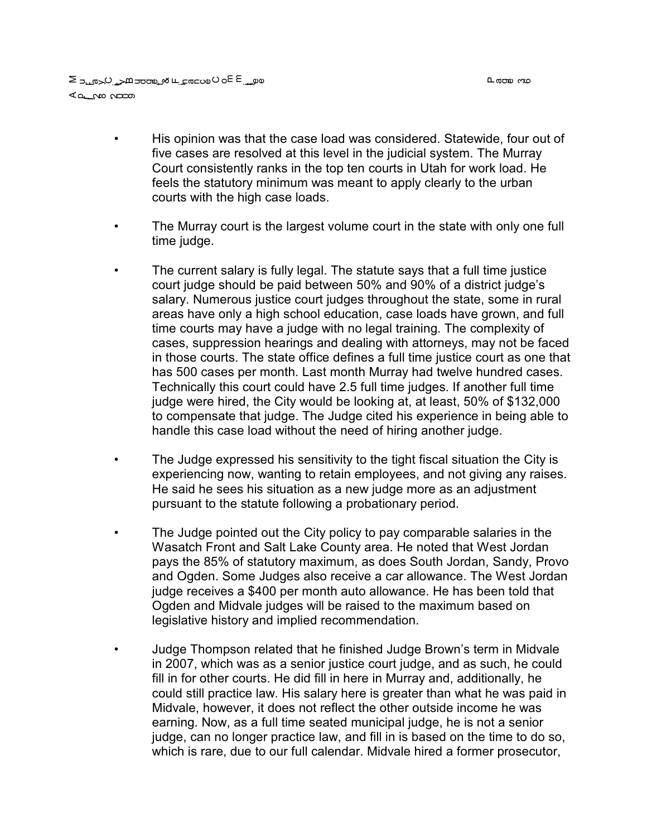a على ب عام العام على الم عليه عليه عليه الحي ⊲ططر Wo il

- His opinion was that the case load was considered. Statewide, four out of five cases are resolved at this level in the judicial system. The Murray Court consistently ranks in the top ten courts in Utah for work load. He feels the statutory minimum was meant to apply clearly to the urban courts with the high case loads.
- The Murray court is the largest volume court in the state with only one full time judge.
- The current salary is fully legal. The statute says that a full time justice court judge should be paid between 50% and 90% of a district judge's salary. Numerous justice court judges throughout the state, some in rural areas have only a high school education, case loads have grown, and full time courts may have a judge with no legal training. The complexity of cases, suppression hearings and dealing with attorneys, may not be faced in those courts. The state office defines a full time justice court as one that has 500 cases per month. Last month Murray had twelve hundred cases. Technically this court could have 2.5 full time judges. If another full time judge were hired, the City would be looking at, at least, 50% of \$132,000 to compensate that judge. The Judge cited his experience in being able to handle this case load without the need of hiring another judge.
- The Judge expressed his sensitivity to the tight fiscal situation the City is experiencing now, wanting to retain employees, and not giving any raises. He said he sees his situation as a new judge more as an adjustment pursuant to the statute following a probationary period.
- The Judge pointed out the City policy to pay comparable salaries in the Wasatch Front and Salt Lake County area. He noted that West Jordan pays the 85% of statutory maximum, as does South Jordan, Sandy, Provo and Ogden. Some Judges also receive a car allowance. The West Jordan judge receives a \$400 per month auto allowance. He has been told that Ogden and Midvale judges will be raised to the maximum based on legislative history and implied recommendation.
- Judge Thompson related that he finished Judge Brown's term in Midvale in 2007, which was as a senior justice court judge, and as such, he could fill in for other courts. He did fill in here in Murray and, additionally, he could still practice law. His salary here is greater than what he was paid in Midvale, however, it does not reflect the other outside income he was earning. Now, as a full time seated municipal judge, he is not a senior judge, can no longer practice law, and fill in is based on the time to do so, which is rare, due to our full calendar. Midvale hired a former prosecutor,

ი დთო 40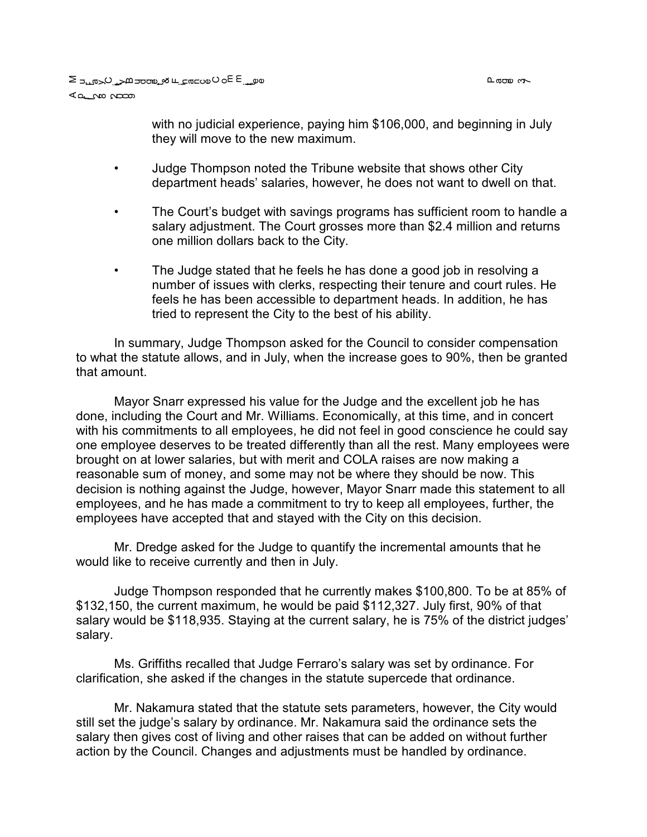with no judicial experience, paying him \$106,000, and beginning in July they will move to the new maximum.

- Judge Thompson noted the Tribune website that shows other City department heads' salaries, however, he does not want to dwell on that.
- The Court's budget with savings programs has sufficient room to handle a salary adjustment. The Court grosses more than \$2.4 million and returns one million dollars back to the City.
- The Judge stated that he feels he has done a good job in resolving a number of issues with clerks, respecting their tenure and court rules. He feels he has been accessible to department heads. In addition, he has tried to represent the City to the best of his ability.

In summary, Judge Thompson asked for the Council to consider compensation to what the statute allows, and in July, when the increase goes to 90%, then be granted that amount.

Mayor Snarr expressed his value for the Judge and the excellent job he has done, including the Court and Mr. Williams. Economically, at this time, and in concert with his commitments to all employees, he did not feel in good conscience he could say one employee deserves to be treated differently than all the rest. Many employees were brought on at lower salaries, but with merit and COLA raises are now making a reasonable sum of money, and some may not be where they should be now. This decision is nothing against the Judge, however, Mayor Snarr made this statement to all employees, and he has made a commitment to try to keep all employees, further, the employees have accepted that and stayed with the City on this decision.

Mr. Dredge asked for the Judge to quantify the incremental amounts that he would like to receive currently and then in July.

Judge Thompson responded that he currently makes \$100,800. To be at 85% of \$132,150, the current maximum, he would be paid \$112,327. July first, 90% of that salary would be \$118,935. Staying at the current salary, he is 75% of the district judges' salary.

Ms. Griffiths recalled that Judge Ferraro's salary was set by ordinance. For clarification, she asked if the changes in the statute supercede that ordinance.

Mr. Nakamura stated that the statute sets parameters, however, the City would still set the judge's salary by ordinance. Mr. Nakamura said the ordinance sets the salary then gives cost of living and other raises that can be added on without further action by the Council. Changes and adjustments must be handled by ordinance.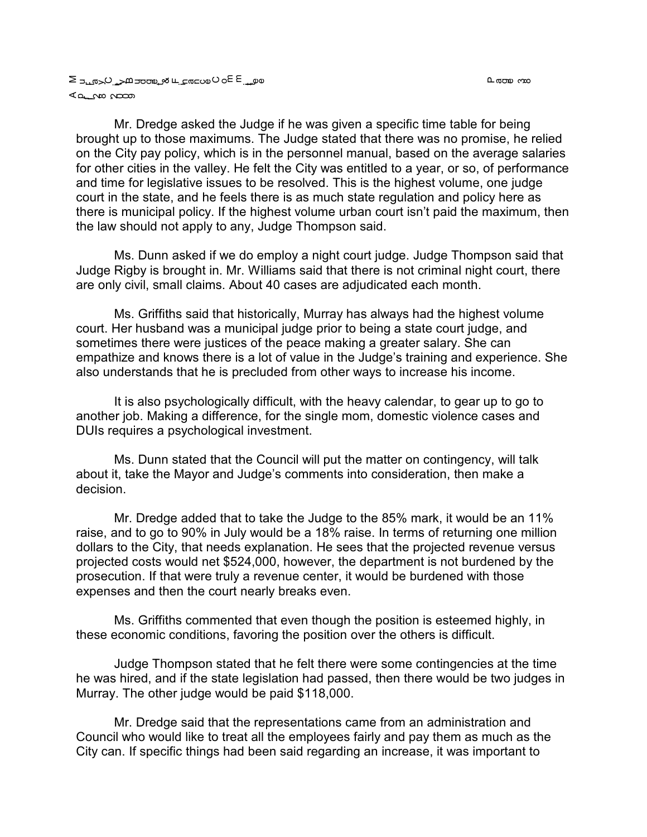മതാ സ

Mr. Dredge asked the Judge if he was given a specific time table for being brought up to those maximums. The Judge stated that there was no promise, he relied on the City pay policy, which is in the personnel manual, based on the average salaries for other cities in the valley. He felt the City was entitled to a year, or so, of performance and time for legislative issues to be resolved. This is the highest volume, one judge court in the state, and he feels there is as much state regulation and policy here as there is municipal policy. If the highest volume urban court isn't paid the maximum, then the law should not apply to any, Judge Thompson said.

Ms. Dunn asked if we do employ a night court judge. Judge Thompson said that Judge Rigby is brought in. Mr. Williams said that there is not criminal night court, there are only civil, small claims. About 40 cases are adjudicated each month.

Ms. Griffiths said that historically, Murray has always had the highest volume court. Her husband was a municipal judge prior to being a state court judge, and sometimes there were justices of the peace making a greater salary. She can empathize and knows there is a lot of value in the Judge's training and experience. She also understands that he is precluded from other ways to increase his income.

It is also psychologically difficult, with the heavy calendar, to gear up to go to another job. Making a difference, for the single mom, domestic violence cases and DUIs requires a psychological investment.

Ms. Dunn stated that the Council will put the matter on contingency, will talk about it, take the Mayor and Judge's comments into consideration, then make a decision.

Mr. Dredge added that to take the Judge to the 85% mark, it would be an 11% raise, and to go to 90% in July would be a 18% raise. In terms of returning one million dollars to the City, that needs explanation. He sees that the projected revenue versus projected costs would net \$524,000, however, the department is not burdened by the prosecution. If that were truly a revenue center, it would be burdened with those expenses and then the court nearly breaks even.

Ms. Griffiths commented that even though the position is esteemed highly, in these economic conditions, favoring the position over the others is difficult.

Judge Thompson stated that he felt there were some contingencies at the time he was hired, and if the state legislation had passed, then there would be two judges in Murray. The other judge would be paid \$118,000.

Mr. Dredge said that the representations came from an administration and Council who would like to treat all the employees fairly and pay them as much as the City can. If specific things had been said regarding an increase, it was important to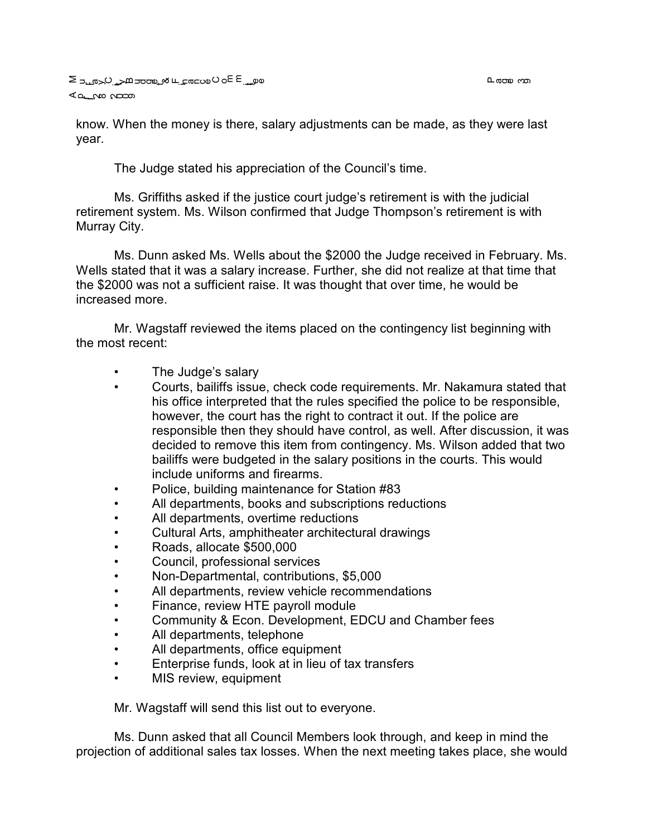know. When the money is there, salary adjustments can be made, as they were last year.

The Judge stated his appreciation of the Council's time.

Ms. Griffiths asked if the justice court judge's retirement is with the judicial retirement system. Ms. Wilson confirmed that Judge Thompson's retirement is with Murray City.

Ms. Dunn asked Ms. Wells about the \$2000 the Judge received in February. Ms. Wells stated that it was a salary increase. Further, she did not realize at that time that the \$2000 was not a sufficient raise. It was thought that over time, he would be increased more.

Mr. Wagstaff reviewed the items placed on the contingency list beginning with the most recent:

- The Judge's salary
- Courts, bailiffs issue, check code requirements. Mr. Nakamura stated that his office interpreted that the rules specified the police to be responsible, however, the court has the right to contract it out. If the police are responsible then they should have control, as well. After discussion, it was decided to remove this item from contingency. Ms. Wilson added that two bailiffs were budgeted in the salary positions in the courts. This would include uniforms and firearms.
- Police, building maintenance for Station #83
- All departments, books and subscriptions reductions
- All departments, overtime reductions
- Cultural Arts, amphitheater architectural drawings
- Roads, allocate \$500,000
- Council, professional services
- Non-Departmental, contributions, \$5,000
- All departments, review vehicle recommendations
- Finance, review HTE payroll module
- Community & Econ. Development, EDCU and Chamber fees
- All departments, telephone
- All departments, office equipment
- Enterprise funds, look at in lieu of tax transfers
- MIS review, equipment

Mr. Wagstaff will send this list out to everyone.

Ms. Dunn asked that all Council Members look through, and keep in mind the projection of additional sales tax losses. When the next meeting takes place, she would